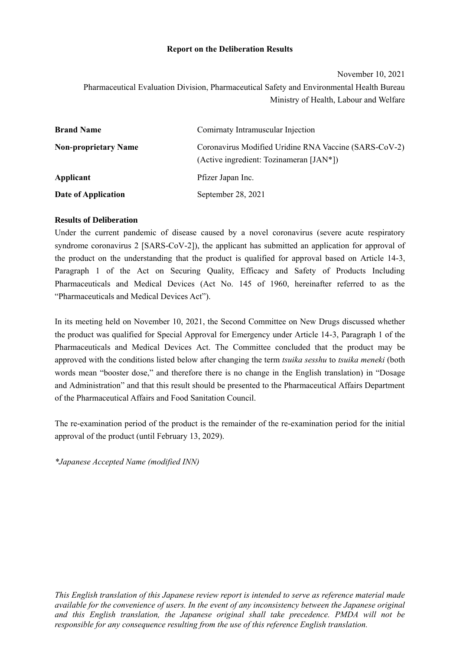### **Report on the Deliberation Results**

#### November 10, 2021

Pharmaceutical Evaluation Division, Pharmaceutical Safety and Environmental Health Bureau Ministry of Health, Labour and Welfare

| <b>Brand Name</b>           | Comirnaty Intramuscular Injection                                                                |  |
|-----------------------------|--------------------------------------------------------------------------------------------------|--|
| <b>Non-proprietary Name</b> | Coronavirus Modified Uridine RNA Vaccine (SARS-CoV-2)<br>(Active ingredient: Tozinameran [JAN*]) |  |
| Applicant                   | Pfizer Japan Inc.                                                                                |  |
| Date of Application         | September 28, 2021                                                                               |  |

### **Results of Deliberation**

Under the current pandemic of disease caused by a novel coronavirus (severe acute respiratory syndrome coronavirus 2 [SARS-CoV-2]), the applicant has submitted an application for approval of the product on the understanding that the product is qualified for approval based on Article 14-3, Paragraph 1 of the Act on Securing Quality, Efficacy and Safety of Products Including Pharmaceuticals and Medical Devices (Act No. 145 of 1960, hereinafter referred to as the "Pharmaceuticals and Medical Devices Act").

In its meeting held on November 10, 2021, the Second Committee on New Drugs discussed whether the product was qualified for Special Approval for Emergency under Article 14-3, Paragraph 1 of the Pharmaceuticals and Medical Devices Act. The Committee concluded that the product may be approved with the conditions listed below after changing the term *tsuika sesshu* to *tsuika meneki* (both words mean "booster dose," and therefore there is no change in the English translation) in "Dosage and Administration" and that this result should be presented to the Pharmaceutical Affairs Department of the Pharmaceutical Affairs and Food Sanitation Council.

The re-examination period of the product is the remainder of the re-examination period for the initial approval of the product (until February 13, 2029).

*\*Japanese Accepted Name (modified INN)*

*This English translation of this Japanese review report is intended to serve as reference material made available for the convenience of users. In the event of any inconsistency between the Japanese original and this English translation, the Japanese original shall take precedence. PMDA will not be responsible for any consequence resulting from the use of this reference English translation.*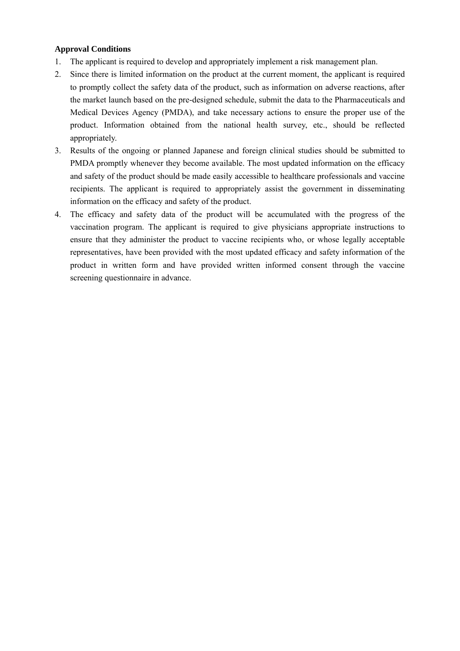### **Approval Conditions**

- 1. The applicant is required to develop and appropriately implement a risk management plan.
- 2. Since there is limited information on the product at the current moment, the applicant is required to promptly collect the safety data of the product, such as information on adverse reactions, after the market launch based on the pre-designed schedule, submit the data to the Pharmaceuticals and Medical Devices Agency (PMDA), and take necessary actions to ensure the proper use of the product. Information obtained from the national health survey, etc., should be reflected appropriately.
- 3. Results of the ongoing or planned Japanese and foreign clinical studies should be submitted to PMDA promptly whenever they become available. The most updated information on the efficacy and safety of the product should be made easily accessible to healthcare professionals and vaccine recipients. The applicant is required to appropriately assist the government in disseminating information on the efficacy and safety of the product.
- 4. The efficacy and safety data of the product will be accumulated with the progress of the vaccination program. The applicant is required to give physicians appropriate instructions to ensure that they administer the product to vaccine recipients who, or whose legally acceptable representatives, have been provided with the most updated efficacy and safety information of the product in written form and have provided written informed consent through the vaccine screening questionnaire in advance.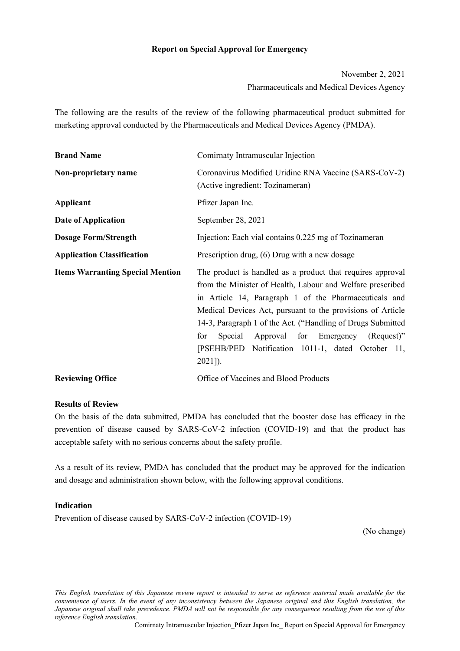### **Report on Special Approval for Emergency**

November 2, 2021 Pharmaceuticals and Medical Devices Agency

The following are the results of the review of the following pharmaceutical product submitted for marketing approval conducted by the Pharmaceuticals and Medical Devices Agency (PMDA).

| <b>Brand Name</b>                       | Comirnaty Intramuscular Injection                                                                                                                                                                                                                                                                                                                                                                                                        |  |
|-----------------------------------------|------------------------------------------------------------------------------------------------------------------------------------------------------------------------------------------------------------------------------------------------------------------------------------------------------------------------------------------------------------------------------------------------------------------------------------------|--|
| Non-proprietary name                    | Coronavirus Modified Uridine RNA Vaccine (SARS-CoV-2)<br>(Active ingredient: Tozinameran)                                                                                                                                                                                                                                                                                                                                                |  |
| Applicant                               | Pfizer Japan Inc.                                                                                                                                                                                                                                                                                                                                                                                                                        |  |
| Date of Application                     | September 28, 2021                                                                                                                                                                                                                                                                                                                                                                                                                       |  |
| <b>Dosage Form/Strength</b>             | Injection: Each vial contains 0.225 mg of Tozinameran                                                                                                                                                                                                                                                                                                                                                                                    |  |
| <b>Application Classification</b>       | Prescription drug, (6) Drug with a new dosage                                                                                                                                                                                                                                                                                                                                                                                            |  |
| <b>Items Warranting Special Mention</b> | The product is handled as a product that requires approval<br>from the Minister of Health, Labour and Welfare prescribed<br>in Article 14, Paragraph 1 of the Pharmaceuticals and<br>Medical Devices Act, pursuant to the provisions of Article<br>14-3, Paragraph 1 of the Act. ("Handling of Drugs Submitted<br>Approval for Emergency (Request)"<br>for<br>Special<br>[PSEHB/PED Notification 1011-1, dated October 11,<br>$2021$ ]). |  |
| <b>Reviewing Office</b>                 | Office of Vaccines and Blood Products                                                                                                                                                                                                                                                                                                                                                                                                    |  |

#### **Results of Review**

On the basis of the data submitted, PMDA has concluded that the booster dose has efficacy in the prevention of disease caused by SARS-CoV-2 infection (COVID-19) and that the product has acceptable safety with no serious concerns about the safety profile.

As a result of its review, PMDA has concluded that the product may be approved for the indication and dosage and administration shown below, with the following approval conditions.

#### **Indication**

Prevention of disease caused by SARS-CoV-2 infection (COVID-19)

(No change)

*This English translation of this Japanese review report is intended to serve as reference material made available for the convenience of users. In the event of any inconsistency between the Japanese original and this English translation, the Japanese original shall take precedence. PMDA will not be responsible for any consequence resulting from the use of this reference English translation.*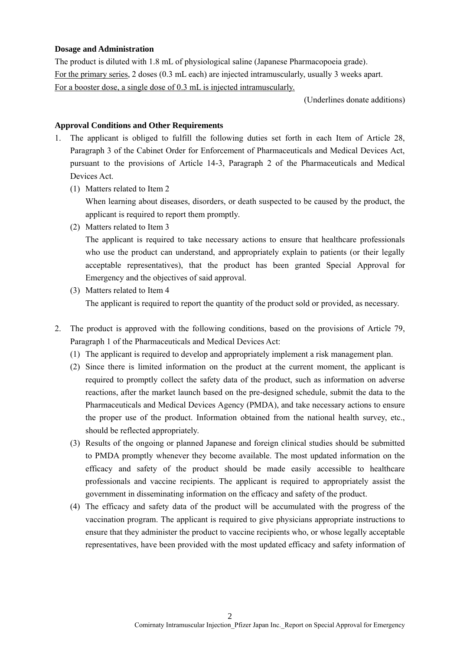#### **Dosage and Administration**

The product is diluted with 1.8 mL of physiological saline (Japanese Pharmacopoeia grade). For the primary series, 2 doses (0.3 mL each) are injected intramuscularly, usually 3 weeks apart. For a booster dose, a single dose of 0.3 mL is injected intramuscularly.

(Underlines donate additions)

#### **Approval Conditions and Other Requirements**

- 1. The applicant is obliged to fulfill the following duties set forth in each Item of Article 28, Paragraph 3 of the Cabinet Order for Enforcement of Pharmaceuticals and Medical Devices Act, pursuant to the provisions of Article 14-3, Paragraph 2 of the Pharmaceuticals and Medical Devices Act.
	- (1) Matters related to Item 2

When learning about diseases, disorders, or death suspected to be caused by the product, the applicant is required to report them promptly.

(2) Matters related to Item 3

The applicant is required to take necessary actions to ensure that healthcare professionals who use the product can understand, and appropriately explain to patients (or their legally acceptable representatives), that the product has been granted Special Approval for Emergency and the objectives of said approval.

- (3) Matters related to Item 4 The applicant is required to report the quantity of the product sold or provided, as necessary.
- 2. The product is approved with the following conditions, based on the provisions of Article 79, Paragraph 1 of the Pharmaceuticals and Medical Devices Act:
	- (1) The applicant is required to develop and appropriately implement a risk management plan.
	- (2) Since there is limited information on the product at the current moment, the applicant is required to promptly collect the safety data of the product, such as information on adverse reactions, after the market launch based on the pre-designed schedule, submit the data to the Pharmaceuticals and Medical Devices Agency (PMDA), and take necessary actions to ensure the proper use of the product. Information obtained from the national health survey, etc., should be reflected appropriately.
	- (3) Results of the ongoing or planned Japanese and foreign clinical studies should be submitted to PMDA promptly whenever they become available. The most updated information on the efficacy and safety of the product should be made easily accessible to healthcare professionals and vaccine recipients. The applicant is required to appropriately assist the government in disseminating information on the efficacy and safety of the product.
	- (4) The efficacy and safety data of the product will be accumulated with the progress of the vaccination program. The applicant is required to give physicians appropriate instructions to ensure that they administer the product to vaccine recipients who, or whose legally acceptable representatives, have been provided with the most updated efficacy and safety information of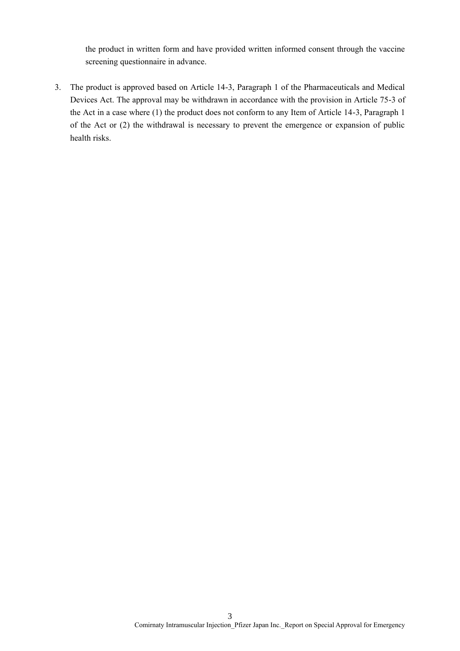the product in written form and have provided written informed consent through the vaccine screening questionnaire in advance.

3. The product is approved based on Article 14-3, Paragraph 1 of the Pharmaceuticals and Medical Devices Act. The approval may be withdrawn in accordance with the provision in Article 75-3 of the Act in a case where (1) the product does not conform to any Item of Article 14-3, Paragraph 1 of the Act or (2) the withdrawal is necessary to prevent the emergence or expansion of public health risks.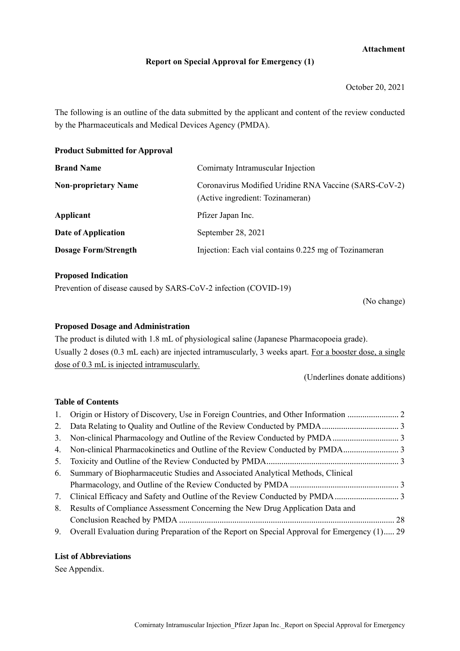### **Attachment**

### **Report on Special Approval for Emergency (1)**

October 20, 2021

The following is an outline of the data submitted by the applicant and content of the review conducted by the Pharmaceuticals and Medical Devices Agency (PMDA).

**Product Submitted for Approval**

| <b>Brand Name</b>           | Comirnaty Intramuscular Injection                                                         |  |
|-----------------------------|-------------------------------------------------------------------------------------------|--|
| <b>Non-proprietary Name</b> | Coronavirus Modified Uridine RNA Vaccine (SARS-CoV-2)<br>(Active ingredient: Tozinameran) |  |
| Applicant                   | Pfizer Japan Inc.                                                                         |  |
| Date of Application         | September 28, 2021                                                                        |  |
| <b>Dosage Form/Strength</b> | Injection: Each vial contains 0.225 mg of Tozinameran                                     |  |

#### **Proposed Indication**

Prevention of disease caused by SARS-CoV-2 infection (COVID-19)

(No change)

### **Proposed Dosage and Administration**

The product is diluted with 1.8 mL of physiological saline (Japanese Pharmacopoeia grade). Usually 2 doses (0.3 mL each) are injected intramuscularly, 3 weeks apart. For a booster dose, a single dose of 0.3 mL is injected intramuscularly.

(Underlines donate additions)

### **Table of Contents**

| 4. Non-clinical Pharmacokinetics and Outline of the Review Conducted by PMDA                    |  |
|-------------------------------------------------------------------------------------------------|--|
|                                                                                                 |  |
| 6. Summary of Biopharmaceutic Studies and Associated Analytical Methods, Clinical               |  |
|                                                                                                 |  |
|                                                                                                 |  |
| 8. Results of Compliance Assessment Concerning the New Drug Application Data and                |  |
|                                                                                                 |  |
| 9. Overall Evaluation during Preparation of the Report on Special Approval for Emergency (1) 29 |  |

### **List of Abbreviations**

See Appendix.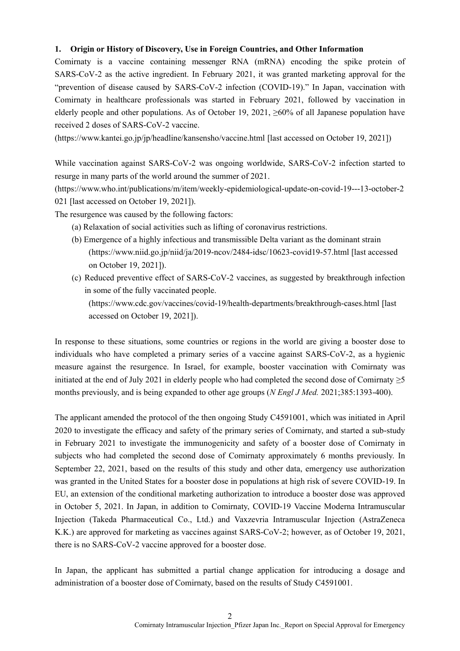### <span id="page-6-0"></span>**1. Origin or History of Discovery, Use in Foreign Countries, and Other Information**

Comirnaty is a vaccine containing messenger RNA (mRNA) encoding the spike protein of SARS-CoV-2 as the active ingredient. In February 2021, it was granted marketing approval for the "prevention of disease caused by SARS-CoV-2 infection (COVID-19)." In Japan, vaccination with Comirnaty in healthcare professionals was started in February 2021, followed by vaccination in elderly people and other populations. As of October 19, 2021,  $\geq 60\%$  of all Japanese population have received 2 doses of SARS-CoV-2 vaccine.

(https://www.kantei.go.jp/jp/headline/kansensho/vaccine.html [last accessed on October 19, 2021])

While vaccination against SARS-CoV-2 was ongoing worldwide, SARS-CoV-2 infection started to resurge in many parts of the world around the summer of 2021.

(https://www.who.int/publications/m/item/weekly-epidemiological-update-on-covid-19---13-october-2 021 [last accessed on October 19, 2021]).

The resurgence was caused by the following factors:

- (a) Relaxation of social activities such as lifting of coronavirus restrictions.
- (b) Emergence of a highly infectious and transmissible Delta variant as the dominant strain (https://www.niid.go.jp/niid/ja/2019-ncov/2484-idsc/10623-covid19-57.html [last accessed on October 19, 2021]).
- (c) Reduced preventive effect of SARS-CoV-2 vaccines, as suggested by breakthrough infection in some of the fully vaccinated people.

(https://www.cdc.gov/vaccines/covid-19/health-departments/breakthrough-cases.html [last accessed on October 19, 2021]).

In response to these situations, some countries or regions in the world are giving a booster dose to individuals who have completed a primary series of a vaccine against SARS-CoV-2, as a hygienic measure against the resurgence. In Israel, for example, booster vaccination with Comirnaty was initiated at the end of July 2021 in elderly people who had completed the second dose of Comirnaty ≥5 months previously, and is being expanded to other age groups (*N Engl J Med.* 2021;385:1393-400).

The applicant amended the protocol of the then ongoing Study C4591001, which was initiated in April 2020 to investigate the efficacy and safety of the primary series of Comirnaty, and started a sub-study in February 2021 to investigate the immunogenicity and safety of a booster dose of Comirnaty in subjects who had completed the second dose of Comirnaty approximately 6 months previously. In September 22, 2021, based on the results of this study and other data, emergency use authorization was granted in the United States for a booster dose in populations at high risk of severe COVID-19. In EU, an extension of the conditional marketing authorization to introduce a booster dose was approved in October 5, 2021. In Japan, in addition to Comirnaty, COVID-19 Vaccine Moderna Intramuscular Injection (Takeda Pharmaceutical Co., Ltd.) and Vaxzevria Intramuscular Injection (AstraZeneca K.K.) are approved for marketing as vaccines against SARS-CoV-2; however, as of October 19, 2021, there is no SARS-CoV-2 vaccine approved for a booster dose.

In Japan, the applicant has submitted a partial change application for introducing a dosage and administration of a booster dose of Comirnaty, based on the results of Study C4591001.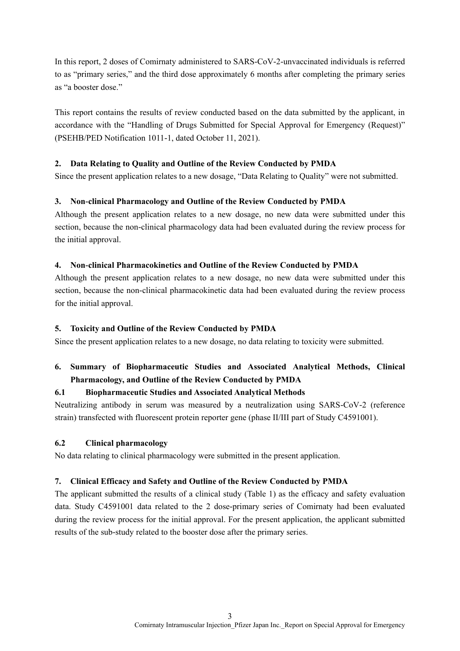In this report, 2 doses of Comirnaty administered to SARS-CoV-2-unvaccinated individuals is referred to as "primary series," and the third dose approximately 6 months after completing the primary series as "a booster dose."

This report contains the results of review conducted based on the data submitted by the applicant, in accordance with the "Handling of Drugs Submitted for Special Approval for Emergency (Request)" (PSEHB/PED Notification 1011-1, dated October 11, 2021).

### <span id="page-7-0"></span>**2. Data Relating to Quality and Outline of the Review Conducted by PMDA**

Since the present application relates to a new dosage, "Data Relating to Quality" were not submitted.

## <span id="page-7-1"></span>**3. Non-clinical Pharmacology and Outline of the Review Conducted by PMDA**

Although the present application relates to a new dosage, no new data were submitted under this section, because the non-clinical pharmacology data had been evaluated during the review process for the initial approval.

### <span id="page-7-2"></span>**4. Non-clinical Pharmacokinetics and Outline of the Review Conducted by PMDA**

Although the present application relates to a new dosage, no new data were submitted under this section, because the non-clinical pharmacokinetic data had been evaluated during the review process for the initial approval.

### <span id="page-7-3"></span>**5. Toxicity and Outline of the Review Conducted by PMDA**

Since the present application relates to a new dosage, no data relating to toxicity were submitted.

# <span id="page-7-4"></span>**6. Summary of Biopharmaceutic Studies and Associated Analytical Methods, Clinical Pharmacology, and Outline of the Review Conducted by PMDA**

## **6.1 Biopharmaceutic Studies and Associated Analytical Methods**

Neutralizing antibody in serum was measured by a neutralization using SARS-CoV-2 (reference strain) transfected with fluorescent protein reporter gene (phase II/III part of Study C4591001).

#### **6.2 Clinical pharmacology**

No data relating to clinical pharmacology were submitted in the present application.

#### <span id="page-7-5"></span>**7. Clinical Efficacy and Safety and Outline of the Review Conducted by PMDA**

The applicant submitted the results of a clinical study (Table 1) as the efficacy and safety evaluation data. Study C4591001 data related to the 2 dose-primary series of Comirnaty had been evaluated during the review process for the initial approval. For the present application, the applicant submitted results of the sub-study related to the booster dose after the primary series.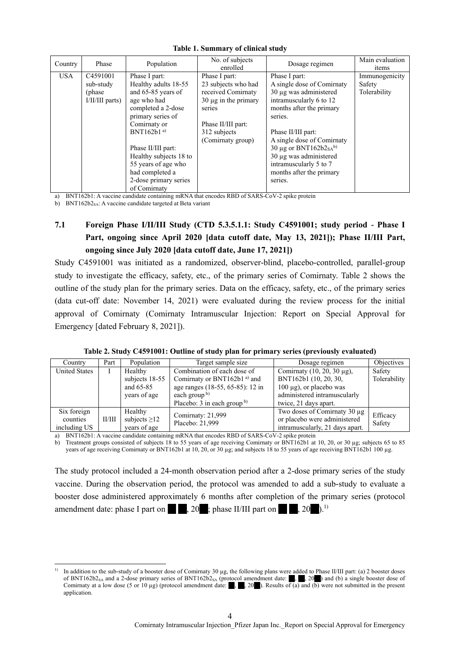| Country    | Phase                                                 | Population                                                                                                                                                                                                                                                                 | No. of subjects<br>enrolled                                                                                                                                  | Dosage regimen                                                                                                                                                                                                                                                                                                                    | Main evaluation<br>items                 |
|------------|-------------------------------------------------------|----------------------------------------------------------------------------------------------------------------------------------------------------------------------------------------------------------------------------------------------------------------------------|--------------------------------------------------------------------------------------------------------------------------------------------------------------|-----------------------------------------------------------------------------------------------------------------------------------------------------------------------------------------------------------------------------------------------------------------------------------------------------------------------------------|------------------------------------------|
| <b>USA</b> | C4591001<br>sub-study<br>(phase)<br>$I/II/III$ parts) | Phase I part:<br>Healthy adults 18-55<br>and 65-85 years of<br>age who had<br>completed a 2-dose<br>primary series of<br>Comirnaty or<br>BNT162b1 $a$ )<br>Phase II/III part:<br>Healthy subjects 18 to<br>55 years of age who<br>had completed a<br>2-dose primary series | Phase I part:<br>23 subjects who had<br>received Comirnaty<br>$30 \mu g$ in the primary<br>series<br>Phase II/III part:<br>312 subjects<br>(Comirnaty group) | Phase I part:<br>A single dose of Comirnaty<br>$30 \mu$ g was administered<br>intramuscularly 6 to 12<br>months after the primary<br>series.<br>Phase II/III part:<br>A single dose of Comirnaty<br>30 µg or BNT162b2 <sub>SA</sub> b)<br>30 µg was administered<br>intramuscularly 5 to 7<br>months after the primary<br>series. | Immunogenicity<br>Safety<br>Tolerability |
|            |                                                       | of Comirnaty                                                                                                                                                                                                                                                               |                                                                                                                                                              |                                                                                                                                                                                                                                                                                                                                   |                                          |

a) BNT162b1: A vaccine candidate containing mRNA that encodes RBD of SARS-CoV-2 spike protein

b) BNT162b2<sub>SA</sub>: A vaccine candidate targeted at Beta variant

-

# **7.1 Foreign Phase I/II/III Study (CTD 5.3.5.1.1: Study C4591001; study period - Phase I**  Part, ongoing since April 2020 [data cutoff date, May 13, 2021]); Phase II/III Part, **ongoing since July 2020 [data cutoff date, June 17, 2021])**

Study C4591001 was initiated as a randomized, observer-blind, placebo-controlled, parallel-group study to investigate the efficacy, safety, etc., of the primary series of Comirnaty. Table 2 shows the outline of the study plan for the primary series. Data on the efficacy, safety, etc., of the primary series (data cut-off date: November 14, 2021) were evaluated during the review process for the initial approval of Comirnaty (Comirnaty Intramuscular Injection: Report on Special Approval for Emergency [dated February 8, 2021]).

| Country              | Part   | Population         | Target sample size<br>Dosage regimen |                                   | Objectives   |
|----------------------|--------|--------------------|--------------------------------------|-----------------------------------|--------------|
| <b>United States</b> |        | Healthy            | Combination of each dose of          | Comirnaty $(10, 20, 30 \mu g)$ ,  | Safety       |
|                      |        | subjects 18-55     | Comirnaty or BNT162b1 $^{a)}$ and    | BNT162b1 (10, 20, 30,             | Tolerability |
|                      |        | and $65-85$        | age ranges (18-55, 65-85): 12 in     | $100 \mu g$ , or placebo was      |              |
|                      |        | years of age       | each group $\frac{b}{c}$             | administered intramuscularly      |              |
|                      |        |                    | Placebo: $3$ in each group b)        | twice, 21 days apart.             |              |
| Six foreign          |        | Healthy            | Comirnaty: 21,999                    | Two doses of Comirnaty 30 $\mu$ g | Efficacy     |
| counties             | II/III | subjects $\geq$ 12 |                                      | or placebo were administered      |              |
| including US         |        | years of age       | Placebo: 21,999                      | intramuscularly, 21 days apart.   | Safety       |

a) BNT162b1: A vaccine candidate containing mRNA that encodes RBD of SARS-CoV-2 spike protein

Treatment groups consisted of subjects 18 to 55 years of age receiving Comirnaty or BNT162b1 at 10, 20, or 30 µg; subjects 65 to 85 years of age receiving Comirnaty or BNT162b1 at 10, 20, or 30 µg; and subjects 18 to 55 years of age receiving BNT162b1 100 µg.

The study protocol included a 24-month observation period after a 2-dose primary series of the study vaccine. During the observation period, the protocol was amended to add a sub-study to evaluate a booster dose administered approximately 6 months after completion of the primary series (protocol amendment date: phase I part on  $\left( \begin{array}{c} 20 \\ 0 \end{array} \right)$ ; phase II/III part on  $\left( \begin{array}{c} 20 \\ 0 \end{array} \right)$ .<sup>1)</sup>

<sup>1)</sup> In addition to the sub-study of a booster dose of Comirnaty 30 µg, the following plans were added to Phase II/III part: (a) 2 booster doses of BNT162b2<sub>SA</sub> and a 2-dose primary series of BNT162b2<sub>SA</sub> (protocol amendment date:  $\Box$ ,  $\Box$ , 20  $\Box$ ) and (b) a single booster dose of Comirnaty at a low dose (5 or 10 µg) (protocol amendment date:  $\Box$ ,  $\Box$ , 20  $\Box$ ). Results of (a) and (b) were not submitted in the present application.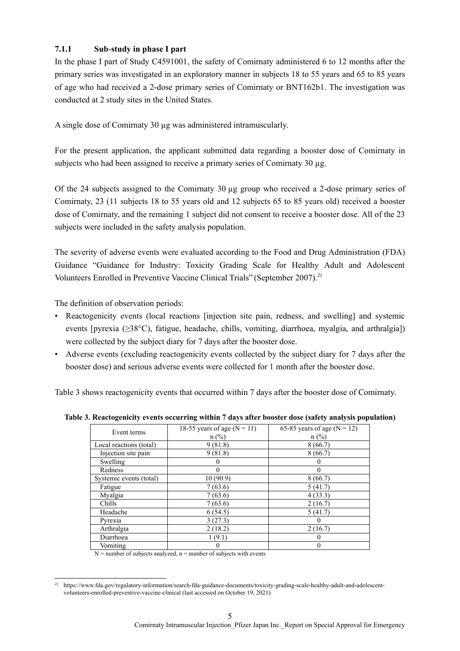# **7.1.1 Sub-study in phase I part**

In the phase I part of Study C4591001, the safety of Comirnaty administered 6 to 12 months after the primary series was investigated in an exploratory manner in subjects 18 to 55 years and 65 to 85 years of age who had received a 2-dose primary series of Comirnaty or BNT162b1. The investigation was conducted at 2 study sites in the United States.

A single dose of Comirnaty 30 µg was administered intramuscularly.

For the present application, the applicant submitted data regarding a booster dose of Comirnaty in subjects who had been assigned to receive a primary series of Comirnaty 30 µg.

Of the 24 subjects assigned to the Comirnaty 30 µg group who received a 2-dose primary series of Comirnaty, 23 (11 subjects 18 to 55 years old and 12 subjects 65 to 85 years old) received a booster dose of Comirnaty, and the remaining 1 subject did not consent to receive a booster dose. All of the 23 subjects were included in the safety analysis population.

The severity of adverse events were evaluated according to the Food and Drug Administration (FDA) Guidance "Guidance for Industry: Toxicity Grading Scale for Healthy Adult and Adolescent Volunteers Enrolled in Preventive Vaccine Clinical Trials" (September 2007).<sup>2)</sup>

The definition of observation periods:

- Reactogenicity events (local reactions [injection site pain, redness, and swelling] and systemic events [pyrexia (≥38°C), fatigue, headache, chills, vomiting, diarrhoea, myalgia, and arthralgia]) were collected by the subject diary for 7 days after the booster dose.
- Adverse events (excluding reactogenicity events collected by the subject diary for 7 days after the booster dose) and serious adverse events were collected for 1 month after the booster dose.

Table 3 shows reactogenicity events that occurred within 7 days after the booster dose of Comirnaty.

**Table 3. Reactogenicity events occurring within 7 days after booster dose (safety analysis population)**

| Event terms             | $\overline{18-55}$ years of age (N = 11) | $\overline{65-85}$ years of age (N = 12) |
|-------------------------|------------------------------------------|------------------------------------------|
|                         | $n$ (%)                                  | $n$ (%)                                  |
| Local reactions (total) | 9(81.8)                                  | 8(66.7)                                  |
| Injection site pain     | 9(81.8)                                  | 8(66.7)                                  |
| Swelling                |                                          |                                          |
| Redness                 | 0                                        |                                          |
| Systemic events (total) | 10(90.9)                                 | 8(66.7)                                  |
| Fatigue                 | 7(63.6)                                  | 5(41.7)                                  |
| Myalgia                 | 7(63.6)                                  | 4(33.3)                                  |
| Chills                  | 7(63.6)                                  | 2(16.7)                                  |
| Headache                | 6(54.5)                                  | 5(41.7)                                  |
| Pyrexia                 | 3(27.3)                                  |                                          |
| Arthralgia              | 2(18.2)                                  | 2(16.7)                                  |
| Diarrhoea               | 1(9.1)                                   |                                          |
| Vomiting                |                                          |                                          |

 $N =$  number of subjects analyzed,  $n =$  number of subjects with events

<sup>-</sup>2) https://www.fda.gov/regulatory-information/search-fda-guidance-documents/toxicity-grading-scale-healthy-adult-and-adolescentvolunteers-enrolled-preventive-vaccine-clinical (last accessed on October 19, 2021)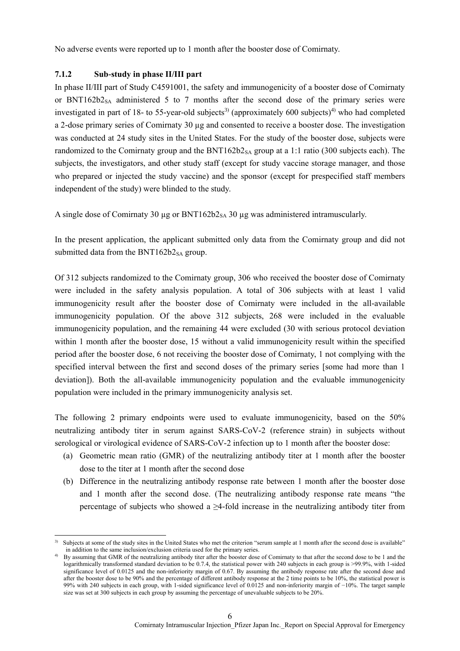No adverse events were reported up to 1 month after the booster dose of Comirnaty.

### **7.1.2 Sub-study in phase II/III part**

1

In phase II/III part of Study C4591001, the safety and immunogenicity of a booster dose of Comirnaty or BNT162b2<sub>SA</sub> administered 5 to 7 months after the second dose of the primary series were investigated in part of 18- to 55-year-old subjects<sup>3)</sup> (approximately 600 subjects)<sup>4)</sup> who had completed a 2-dose primary series of Comirnaty 30 µg and consented to receive a booster dose. The investigation was conducted at 24 study sites in the United States. For the study of the booster dose, subjects were randomized to the Comirnaty group and the  $BNT162b2_{SA}$  group at a 1:1 ratio (300 subjects each). The subjects, the investigators, and other study staff (except for study vaccine storage manager, and those who prepared or injected the study vaccine) and the sponsor (except for prespecified staff members independent of the study) were blinded to the study.

A single dose of Comirnaty 30 µg or  $BNT162b2_{SA}$  30 µg was administered intramuscularly.

In the present application, the applicant submitted only data from the Comirnaty group and did not submitted data from the BNT162b2 $_{SA}$  group.

Of 312 subjects randomized to the Comirnaty group, 306 who received the booster dose of Comirnaty were included in the safety analysis population. A total of 306 subjects with at least 1 valid immunogenicity result after the booster dose of Comirnaty were included in the all-available immunogenicity population. Of the above 312 subjects, 268 were included in the evaluable immunogenicity population, and the remaining 44 were excluded (30 with serious protocol deviation within 1 month after the booster dose, 15 without a valid immunogenicity result within the specified period after the booster dose, 6 not receiving the booster dose of Comirnaty, 1 not complying with the specified interval between the first and second doses of the primary series [some had more than 1 deviation]). Both the all-available immunogenicity population and the evaluable immunogenicity population were included in the primary immunogenicity analysis set.

The following 2 primary endpoints were used to evaluate immunogenicity, based on the 50% neutralizing antibody titer in serum against SARS-CoV-2 (reference strain) in subjects without serological or virological evidence of SARS-CoV-2 infection up to 1 month after the booster dose:

- (a) Geometric mean ratio (GMR) of the neutralizing antibody titer at 1 month after the booster dose to the titer at 1 month after the second dose
- (b) Difference in the neutralizing antibody response rate between 1 month after the booster dose and 1 month after the second dose. (The neutralizing antibody response rate means "the percentage of subjects who showed a  $\geq$ 4-fold increase in the neutralizing antibody titer from

<sup>3)</sup> Subjects at some of the study sites in the United States who met the criterion "serum sample at 1 month after the second dose is available" in addition to the same inclusion/exclusion criteria used for the primary series.

<sup>4)</sup> By assuming that GMR of the neutralizing antibody titer after the booster dose of Comirnaty to that after the second dose to be 1 and the logarithmically transformed standard deviation to be 0.7.4, the statistical power with 240 subjects in each group is >99.9%, with 1-sided significance level of 0.0125 and the non-inferiority margin of 0.67. By assuming the antibody response rate after the second dose and after the booster dose to be 90% and the percentage of different antibody response at the 2 time points to be 10%, the statistical power is 99% with 240 subjects in each group, with 1-sided significance level of 0.0125 and non-inferiority margin of −10%. The target sample size was set at 300 subjects in each group by assuming the percentage of unevaluable subjects to be 20%.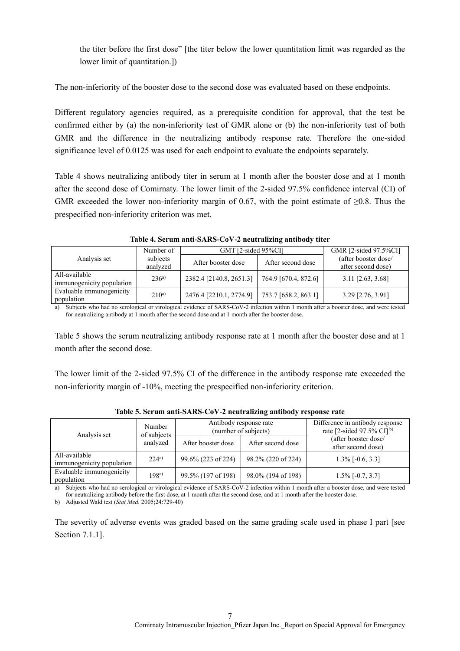the titer before the first dose" [the titer below the lower quantitation limit was regarded as the lower limit of quantitation.])

The non-inferiority of the booster dose to the second dose was evaluated based on these endpoints.

Different regulatory agencies required, as a prerequisite condition for approval, that the test be confirmed either by (a) the non-inferiority test of GMR alone or (b) the non-inferiority test of both GMR and the difference in the neutralizing antibody response rate. Therefore the one-sided significance level of 0.0125 was used for each endpoint to evaluate the endpoints separately.

Table 4 shows neutralizing antibody titer in serum at 1 month after the booster dose and at 1 month after the second dose of Comirnaty. The lower limit of the 2-sided 97.5% confidence interval (CI) of GMR exceeded the lower non-inferiority margin of 0.67, with the point estimate of  $\geq$ 0.8. Thus the prespecified non-inferiority criterion was met.

|                           | Number of | GMT [2-sided 95%CI]     |                      | GMR [2-sided 97.5%CI] |
|---------------------------|-----------|-------------------------|----------------------|-----------------------|
| Analysis set              | subjects  | After booster dose      | After second dose    | (after booster dose/  |
|                           | analyzed  |                         |                      | after second dose)    |
| All-available             | $236^{a}$ | 2382.4 [2140.8, 2651.3] | 764.9 [670.4, 872.6] | $3.11$ [2.63, 3.68]   |
| immunogenicity population |           |                         |                      |                       |
| Evaluable immunogenicity  | $210^{a}$ | 2476.4 [2210.1, 2774.9] | 753.7 [658.2, 863.1] | $3.29$ [2.76, 3.91]   |
| population                |           |                         |                      |                       |

**Table 4. Serum anti-SARS-CoV-2 neutralizing antibody titer**

a) Subjects who had no serological or virological evidence of SARS-CoV-2 infection within 1 month after a booster dose, and were tested for neutralizing antibody at 1 month after the second dose and at 1 month after the booster dose.

Table 5 shows the serum neutralizing antibody response rate at 1 month after the booster dose and at 1 month after the second dose.

The lower limit of the 2-sided 97.5% CI of the difference in the antibody response rate exceeded the non-inferiority margin of -10%, meeting the prespecified non-inferiority criterion.

|                                            | Number<br>of subjects<br>analyzed | Antibody response rate<br>(number of subjects) |                    | Difference in antibody response<br>rate [2-sided 97.5% CI] <sup>b)</sup> |  |
|--------------------------------------------|-----------------------------------|------------------------------------------------|--------------------|--------------------------------------------------------------------------|--|
| Analysis set                               |                                   | After booster dose                             | After second dose  | (after booster dose/<br>after second dose)                               |  |
| All-available<br>immunogenicity population | $224^{a}$                         | 99.6% (223 of 224)                             | 98.2% (220 of 224) | $1.3\%$ [-0.6, 3.3]                                                      |  |
| Evaluable immunogenicity<br>population     | 198 <sup>a</sup>                  | 99.5% (197 of 198)                             | 98.0% (194 of 198) | $1.5\%$ [-0.7, 3.7]                                                      |  |

**Table 5. Serum anti-SARS-CoV-2 neutralizing antibody response rate**

a) Subjects who had no serological or virological evidence of SARS-CoV-2 infection within 1 month after a booster dose, and were tested for neutralizing antibody before the first dose, at 1 month after the second dose, and at 1 month after the booster dose.

b) Adjusted Wald test (*Stat Med.* 2005;24:729-40)

The severity of adverse events was graded based on the same grading scale used in phase I part [see Section 7.1.1].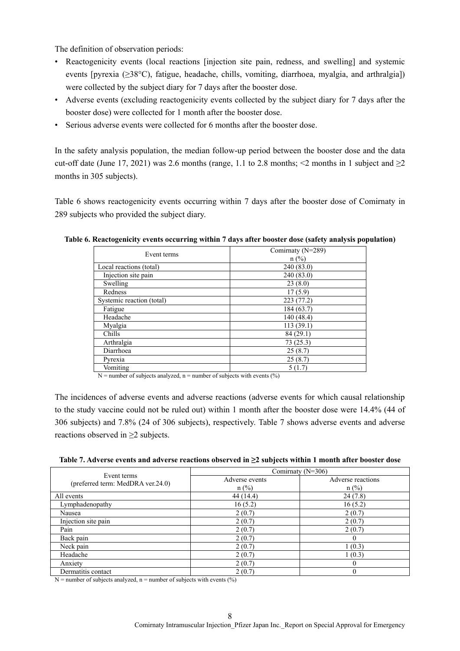The definition of observation periods:

- Reactogenicity events (local reactions [injection site pain, redness, and swelling] and systemic events [pyrexia (≥38°C), fatigue, headache, chills, vomiting, diarrhoea, myalgia, and arthralgia]) were collected by the subject diary for 7 days after the booster dose.
- Adverse events (excluding reactogenicity events collected by the subject diary for 7 days after the booster dose) were collected for 1 month after the booster dose.
- Serious adverse events were collected for 6 months after the booster dose.

In the safety analysis population, the median follow-up period between the booster dose and the data cut-off date (June 17, 2021) was 2.6 months (range, 1.1 to 2.8 months; <2 months in 1 subject and  $\geq$ 2 months in 305 subjects).

Table 6 shows reactogenicity events occurring within 7 days after the booster dose of Comirnaty in 289 subjects who provided the subject diary.

| Event terms               | Comirnaty (N=289) |
|---------------------------|-------------------|
|                           | $n$ (%)           |
| Local reactions (total)   | 240 (83.0)        |
| Injection site pain       | 240 (83.0)        |
| Swelling                  | 23(8.0)           |
| Redness                   | 17(5.9)           |
| Systemic reaction (total) | 223(77.2)         |
| Fatigue                   | 184 (63.7)        |
| Headache                  | 140 (48.4)        |
| Myalgia                   | 113(39.1)         |
| Chills                    | 84 (29.1)         |
| Arthralgia                | 73(25.3)          |
| Diarrhoea                 | 25(8.7)           |
| Pyrexia                   | 25(8.7)           |
| Vomiting                  | 5(1.7)            |

| Table 6. Reactogenicity events occurring within 7 days after booster dose (safety analysis population) |  |  |
|--------------------------------------------------------------------------------------------------------|--|--|
|                                                                                                        |  |  |

 $N =$  number of subjects analyzed, n = number of subjects with events (%)

The incidences of adverse events and adverse reactions (adverse events for which causal relationship to the study vaccine could not be ruled out) within 1 month after the booster dose were 14.4% (44 of 306 subjects) and 7.8% (24 of 306 subjects), respectively. Table 7 shows adverse events and adverse reactions observed in  $\geq$ 2 subjects.

| Table 7. Adverse events and adverse reactions observed in $\geq 2$ subjects within 1 month after booster dose |  |  |
|---------------------------------------------------------------------------------------------------------------|--|--|
|                                                                                                               |  |  |
|                                                                                                               |  |  |

| Event terms                       | Comirnaty $(N=306)$ |                   |  |  |
|-----------------------------------|---------------------|-------------------|--|--|
| (preferred term: MedDRA ver.24.0) | Adverse events      | Adverse reactions |  |  |
|                                   | $n$ (%)             | $n$ (%)           |  |  |
| All events                        | 44 (14.4)           | 24(7.8)           |  |  |
| Lymphadenopathy                   | 16(5.2)             | 16 (5.2)          |  |  |
| Nausea                            | 2(0.7)              | 2(0.7)            |  |  |
| Injection site pain               | 2(0.7)              | 2(0.7)            |  |  |
| Pain                              | 2(0.7)              | 2(0.7)            |  |  |
| Back pain                         | 2(0.7)              |                   |  |  |
| Neck pain                         | 2(0.7)              | 1(0.3)            |  |  |
| Headache                          | 2(0.7)              | 1(0.3)            |  |  |
| Anxiety                           | 2(0.7)              |                   |  |  |
| Dermatitis contact                | 2(0.7)              |                   |  |  |

 $N =$  number of subjects analyzed, n = number of subjects with events (%)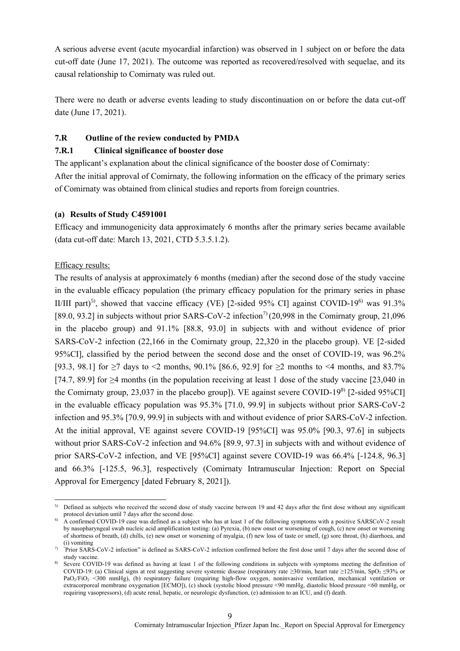A serious adverse event (acute myocardial infarction) was observed in 1 subject on or before the data cut-off date (June 17, 2021). The outcome was reported as recovered/resolved with sequelae, and its causal relationship to Comirnaty was ruled out.

There were no death or adverse events leading to study discontinuation on or before the data cut-off date (June 17, 2021).

### **7.R Outline of the review conducted by PMDA**

### **7.R.1 Clinical significance of booster dose**

The applicant's explanation about the clinical significance of the booster dose of Comirnaty: After the initial approval of Comirnaty, the following information on the efficacy of the primary series of Comirnaty was obtained from clinical studies and reports from foreign countries.

### **(a) Results of Study C4591001**

Efficacy and immunogenicity data approximately 6 months after the primary series became available (data cut-off date: March 13, 2021, CTD 5.3.5.1.2).

## Efficacy results:

-

The results of analysis at approximately 6 months (median) after the second dose of the study vaccine in the evaluable efficacy population (the primary efficacy population for the primary series in phase II/III part)<sup>5)</sup>, showed that vaccine efficacy (VE) [2-sided 95% CI] against COVID-19<sup>6)</sup> was 91.3% [89.0, 93.2] in subjects without prior SARS-CoV-2 infection<sup>7)</sup> (20,998 in the Comirnaty group, 21,096 in the placebo group) and 91.1% [88.8, 93.0] in subjects with and without evidence of prior SARS-CoV-2 infection (22,166 in the Comirnaty group, 22,320 in the placebo group). VE [2-sided 95%CI], classified by the period between the second dose and the onset of COVID-19, was 96.2% [93.3, 98.1] for  $\geq$  days to <2 months, 90.1% [86.6, 92.9] for  $\geq$  months to <4 months, and 83.7% [74.7, 89.9] for  $\geq$ 4 months (in the population receiving at least 1 dose of the study vaccine [23,040 in the Comirnaty group, 23,037 in the placebo group]). VE against severe COVID-19<sup>8)</sup> [2-sided 95%CI] in the evaluable efficacy population was 95.3% [71.0, 99.9] in subjects without prior SARS-CoV-2 infection and 95.3% [70.9, 99.9] in subjects with and without evidence of prior SARS-CoV-2 infection. At the initial approval, VE against severe COVID-19 [95%CI] was 95.0% [90.3, 97.6] in subjects without prior SARS-CoV-2 infection and 94.6% [89.9, 97.3] in subjects with and without evidence of prior SARS-CoV-2 infection, and VE [95%CI] against severe COVID-19 was 66.4% [-124.8, 96.3] and 66.3% [-125.5, 96.3], respectively (Comirnaty Intramuscular Injection: Report on Special Approval for Emergency [dated February 8, 2021]).

<sup>&</sup>lt;sup>5)</sup> Defined as subjects who received the second dose of study vaccine between 19 and 42 days after the first dose without any significant protocol deviation until 7 days after the second dose.

<sup>6)</sup> A confirmed COVID-19 case was defined as a subject who has at least 1 of the following symptoms with a positive SARSCoV-2 result by nasopharyngeal swab nucleic acid amplification testing: (a) Pyrexia, (b) new onset or worsening of cough, (c) new onset or worsening of shortness of breath, (d) chills, (e) new onset or worsening of myalgia, (f) new loss of taste or smell, (g) sore throat, (h) diarrhoea, and (i) vomiting

<sup>&</sup>lt;sup>7)</sup> "Prior SARS-CoV-2 infection" is defined as SARS-CoV-2 infection confirmed before the first dose until 7 days after the second dose of study vaccine.

Severe COVID-19 was defined as having at least 1 of the following conditions in subjects with symptoms meeting the definition of COVID-19: (a) Clinical signs at rest suggesting severe systemic disease (respiratory rate ≥30/min, heart rate ≥125/min, SpO<sub>2</sub> ≤93% or PaO<sub>2</sub>/FiO<sub>2</sub> <300 mmHg), (b) respiratory failure (requiring high-flow oxygen, noninvasive ventilation, mechanical ventilation or extracorporeal membrane oxygenation [ECMO]), (c) shock (systolic blood pressure <90 mmHg, diastolic blood pressure <60 mmHg, or requiring vasopressors), (d) acute renal, hepatic, or neurologic dysfunction, (e) admission to an ICU, and (f) death.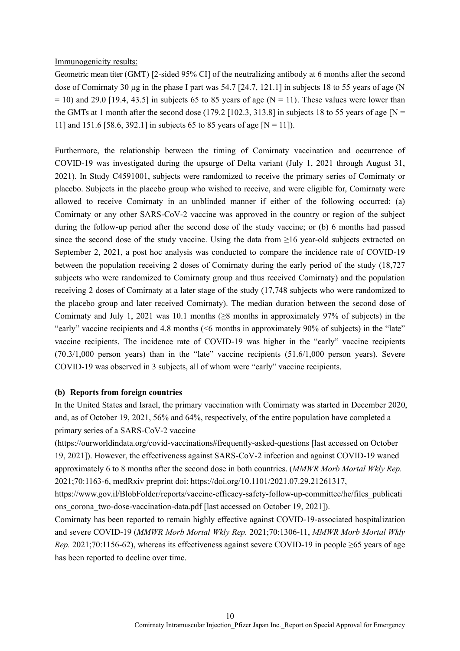#### Immunogenicity results:

Geometric mean titer (GMT) [2-sided 95% CI] of the neutralizing antibody at 6 months after the second dose of Comirnaty 30  $\mu$ g in the phase I part was 54.7 [24.7, 121.1] in subjects 18 to 55 years of age (N  $= 10$ ) and 29.0 [19.4, 43.5] in subjects 65 to 85 years of age (N = 11). These values were lower than the GMTs at 1 month after the second dose (179.2 [102.3, 313.8] in subjects 18 to 55 years of age [N = 11] and 151.6 [58.6, 392.1] in subjects 65 to 85 years of age [N = 11]).

Furthermore, the relationship between the timing of Comirnaty vaccination and occurrence of COVID-19 was investigated during the upsurge of Delta variant (July 1, 2021 through August 31, 2021). In Study C4591001, subjects were randomized to receive the primary series of Comirnaty or placebo. Subjects in the placebo group who wished to receive, and were eligible for, Comirnaty were allowed to receive Comirnaty in an unblinded manner if either of the following occurred: (a) Comirnaty or any other SARS-CoV-2 vaccine was approved in the country or region of the subject during the follow-up period after the second dose of the study vaccine; or (b) 6 months had passed since the second dose of the study vaccine. Using the data from ≥16 year-old subjects extracted on September 2, 2021, a post hoc analysis was conducted to compare the incidence rate of COVID-19 between the population receiving 2 doses of Comirnaty during the early period of the study (18,727 subjects who were randomized to Comirnaty group and thus received Comirnaty) and the population receiving 2 doses of Comirnaty at a later stage of the study (17,748 subjects who were randomized to the placebo group and later received Comirnaty). The median duration between the second dose of Comirnaty and July 1, 2021 was 10.1 months ( $\geq 8$  months in approximately 97% of subjects) in the "early" vaccine recipients and 4.8 months (<6 months in approximately 90% of subjects) in the "late" vaccine recipients. The incidence rate of COVID-19 was higher in the "early" vaccine recipients (70.3/1,000 person years) than in the "late" vaccine recipients (51.6/1,000 person years). Severe COVID-19 was observed in 3 subjects, all of whom were "early" vaccine recipients.

#### **(b) Reports from foreign countries**

In the United States and Israel, the primary vaccination with Comirnaty was started in December 2020, and, as of October 19, 2021, 56% and 64%, respectively, of the entire population have completed a primary series of a SARS-CoV-2 vaccine

(https://ourworldindata.org/covid-vaccinations#frequently-asked-questions [last accessed on October 19, 2021]). However, the effectiveness against SARS-CoV-2 infection and against COVID-19 waned approximately 6 to 8 months after the second dose in both countries. (*MMWR Morb Mortal Wkly Rep.* 2021;70:1163-6, medRxiv preprint doi: https://doi.org/10.1101/2021.07.29.21261317,

https://www.gov.il/BlobFolder/reports/vaccine-efficacy-safety-follow-up-committee/he/files\_publicati ons corona two-dose-vaccination-data.pdf [last accessed on October 19, 2021]).

Comirnaty has been reported to remain highly effective against COVID-19-associated hospitalization and severe COVID-19 (*MMWR Morb Mortal Wkly Rep.* 2021;70:1306-11, *MMWR Morb Mortal Wkly Rep.* 2021;70:1156-62), whereas its effectiveness against severe COVID-19 in people ≥65 years of age has been reported to decline over time.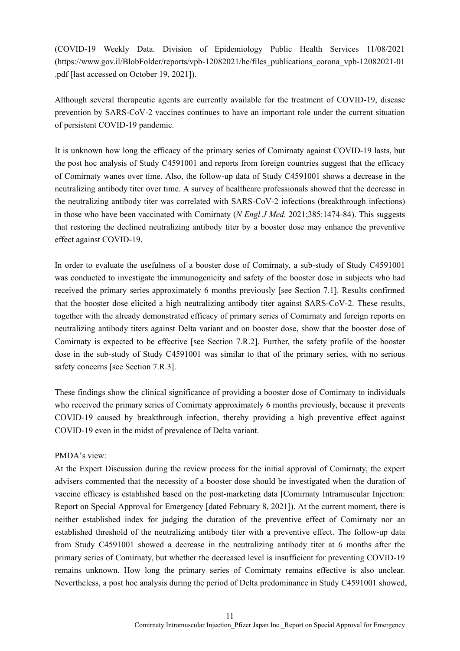(COVID-19 Weekly Data. Division of Epidemiology Public Health Services 11/08/2021 (https://www.gov.il/BlobFolder/reports/vpb-12082021/he/files\_publications\_corona\_vpb-12082021-01 .pdf [last accessed on October 19, 2021]).

Although several therapeutic agents are currently available for the treatment of COVID-19, disease prevention by SARS-CoV-2 vaccines continues to have an important role under the current situation of persistent COVID-19 pandemic.

It is unknown how long the efficacy of the primary series of Comirnaty against COVID-19 lasts, but the post hoc analysis of Study C4591001 and reports from foreign countries suggest that the efficacy of Comirnaty wanes over time. Also, the follow-up data of Study C4591001 shows a decrease in the neutralizing antibody titer over time. A survey of healthcare professionals showed that the decrease in the neutralizing antibody titer was correlated with SARS-CoV-2 infections (breakthrough infections) in those who have been vaccinated with Comirnaty (*N Engl J Med.* 2021;385:1474-84). This suggests that restoring the declined neutralizing antibody titer by a booster dose may enhance the preventive effect against COVID-19.

In order to evaluate the usefulness of a booster dose of Comirnaty, a sub-study of Study C4591001 was conducted to investigate the immunogenicity and safety of the booster dose in subjects who had received the primary series approximately 6 months previously [see Section 7.1]. Results confirmed that the booster dose elicited a high neutralizing antibody titer against SARS-CoV-2. These results, together with the already demonstrated efficacy of primary series of Comirnaty and foreign reports on neutralizing antibody titers against Delta variant and on booster dose, show that the booster dose of Comirnaty is expected to be effective [see Section 7.R.2]. Further, the safety profile of the booster dose in the sub-study of Study C4591001 was similar to that of the primary series, with no serious safety concerns [see Section 7.R.3].

These findings show the clinical significance of providing a booster dose of Comirnaty to individuals who received the primary series of Comirnaty approximately 6 months previously, because it prevents COVID-19 caused by breakthrough infection, thereby providing a high preventive effect against COVID-19 even in the midst of prevalence of Delta variant.

#### PMDA's view:

At the Expert Discussion during the review process for the initial approval of Comirnaty, the expert advisers commented that the necessity of a booster dose should be investigated when the duration of vaccine efficacy is established based on the post-marketing data [Comirnaty Intramuscular Injection: Report on Special Approval for Emergency [dated February 8, 2021]). At the current moment, there is neither established index for judging the duration of the preventive effect of Comirnaty nor an established threshold of the neutralizing antibody titer with a preventive effect. The follow-up data from Study C4591001 showed a decrease in the neutralizing antibody titer at 6 months after the primary series of Comirnaty, but whether the decreased level is insufficient for preventing COVID-19 remains unknown. How long the primary series of Comirnaty remains effective is also unclear. Nevertheless, a post hoc analysis during the period of Delta predominance in Study C4591001 showed,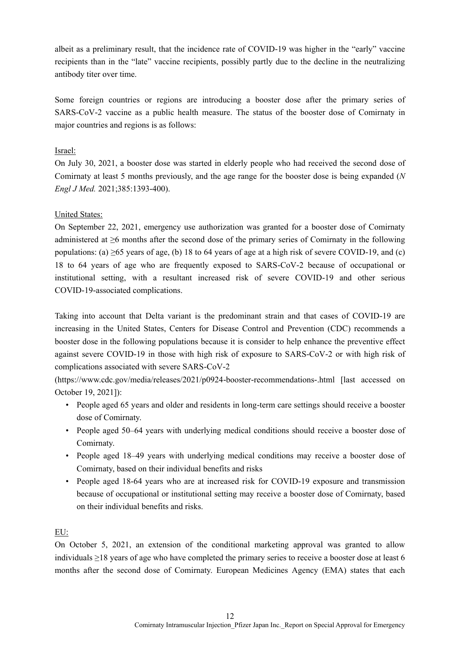albeit as a preliminary result, that the incidence rate of COVID-19 was higher in the "early" vaccine recipients than in the "late" vaccine recipients, possibly partly due to the decline in the neutralizing antibody titer over time.

Some foreign countries or regions are introducing a booster dose after the primary series of SARS-CoV-2 vaccine as a public health measure. The status of the booster dose of Comirnaty in major countries and regions is as follows:

# Israel:

On July 30, 2021, a booster dose was started in elderly people who had received the second dose of Comirnaty at least 5 months previously, and the age range for the booster dose is being expanded (*N Engl J Med.* 2021;385:1393-400).

# United States:

On September 22, 2021, emergency use authorization was granted for a booster dose of Comirnaty administered at ≥6 months after the second dose of the primary series of Comirnaty in the following populations: (a) ≥65 years of age, (b) 18 to 64 years of age at a high risk of severe COVID-19, and (c) 18 to 64 years of age who are frequently exposed to SARS-CoV-2 because of occupational or institutional setting, with a resultant increased risk of severe COVID-19 and other serious COVID-19-associated complications.

Taking into account that Delta variant is the predominant strain and that cases of COVID-19 are increasing in the United States, Centers for Disease Control and Prevention (CDC) recommends a booster dose in the following populations because it is consider to help enhance the preventive effect against severe COVID-19 in those with high risk of exposure to SARS-CoV-2 or with high risk of complications associated with severe SARS-CoV-2

(https://www.cdc.gov/media/releases/2021/p0924-booster-recommendations-.html [last accessed on October 19, 2021]):

- People aged 65 years and older and residents in long-term care settings should receive a booster dose of Comirnaty.
- People aged 50–64 years with underlying medical conditions should receive a booster dose of Comirnaty.
- People aged 18–49 years with underlying medical conditions may receive a booster dose of Comirnaty, based on their individual benefits and risks
- People aged 18-64 years who are at increased risk for COVID-19 exposure and transmission because of occupational or institutional setting may receive a booster dose of Comirnaty, based on their individual benefits and risks.

## EU:

On October 5, 2021, an extension of the conditional marketing approval was granted to allow individuals ≥18 years of age who have completed the primary series to receive a booster dose at least 6 months after the second dose of Comirnaty. European Medicines Agency (EMA) states that each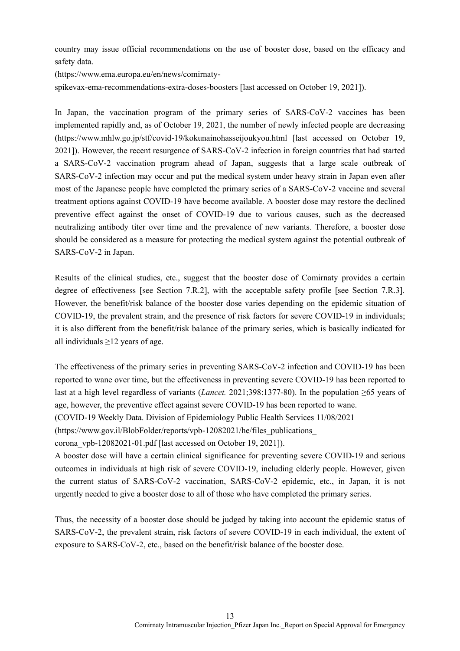country may issue official recommendations on the use of booster dose, based on the efficacy and safety data.

(https://www.ema.europa.eu/en/news/comirnaty-

spikevax-ema-recommendations-extra-doses-boosters [last accessed on October 19, 2021]).

In Japan, the vaccination program of the primary series of SARS-CoV-2 vaccines has been implemented rapidly and, as of October 19, 2021, the number of newly infected people are decreasing (https://www.mhlw.go.jp/stf/covid-19/kokunainohasseijoukyou.html [last accessed on October 19, 2021]). However, the recent resurgence of SARS-CoV-2 infection in foreign countries that had started a SARS-CoV-2 vaccination program ahead of Japan, suggests that a large scale outbreak of SARS-CoV-2 infection may occur and put the medical system under heavy strain in Japan even after most of the Japanese people have completed the primary series of a SARS-CoV-2 vaccine and several treatment options against COVID-19 have become available. A booster dose may restore the declined preventive effect against the onset of COVID-19 due to various causes, such as the decreased neutralizing antibody titer over time and the prevalence of new variants. Therefore, a booster dose should be considered as a measure for protecting the medical system against the potential outbreak of SARS-CoV-2 in Japan.

Results of the clinical studies, etc., suggest that the booster dose of Comirnaty provides a certain degree of effectiveness [see Section 7.R.2], with the acceptable safety profile [see Section 7.R.3]. However, the benefit/risk balance of the booster dose varies depending on the epidemic situation of COVID-19, the prevalent strain, and the presence of risk factors for severe COVID-19 in individuals; it is also different from the benefit/risk balance of the primary series, which is basically indicated for all individuals  $\geq$ 12 years of age.

The effectiveness of the primary series in preventing SARS-CoV-2 infection and COVID-19 has been reported to wane over time, but the effectiveness in preventing severe COVID-19 has been reported to last at a high level regardless of variants (*Lancet.* 2021;398:1377-80). In the population ≥65 years of age, however, the preventive effect against severe COVID-19 has been reported to wane. (COVID-19 Weekly Data. Division of Epidemiology Public Health Services 11/08/2021 (https://www.gov.il/BlobFolder/reports/vpb-12082021/he/files\_publications\_

corona\_vpb-12082021-01.pdf [last accessed on October 19, 2021]).

A booster dose will have a certain clinical significance for preventing severe COVID-19 and serious outcomes in individuals at high risk of severe COVID-19, including elderly people. However, given the current status of SARS-CoV-2 vaccination, SARS-CoV-2 epidemic, etc., in Japan, it is not urgently needed to give a booster dose to all of those who have completed the primary series.

Thus, the necessity of a booster dose should be judged by taking into account the epidemic status of SARS-CoV-2, the prevalent strain, risk factors of severe COVID-19 in each individual, the extent of exposure to SARS-CoV-2, etc., based on the benefit/risk balance of the booster dose.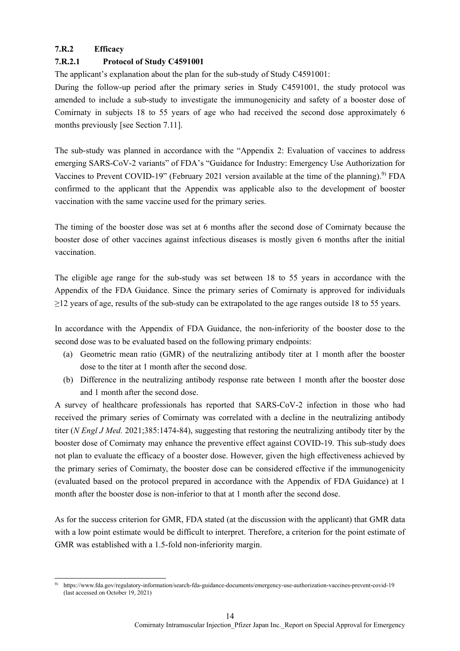# **7.R.2 Efficacy**

# **7.R.2.1 Protocol of Study C4591001**

The applicant's explanation about the plan for the sub-study of Study C4591001:

During the follow-up period after the primary series in Study C4591001, the study protocol was amended to include a sub-study to investigate the immunogenicity and safety of a booster dose of Comirnaty in subjects 18 to 55 years of age who had received the second dose approximately 6 months previously [see Section 7.11].

The sub-study was planned in accordance with the "Appendix 2: Evaluation of vaccines to address emerging SARS-CoV-2 variants" of FDA's "Guidance for Industry: Emergency Use Authorization for Vaccines to Prevent COVID-19" (February 2021 version available at the time of the planning).<sup>9)</sup> FDA confirmed to the applicant that the Appendix was applicable also to the development of booster vaccination with the same vaccine used for the primary series.

The timing of the booster dose was set at 6 months after the second dose of Comirnaty because the booster dose of other vaccines against infectious diseases is mostly given 6 months after the initial vaccination.

The eligible age range for the sub-study was set between 18 to 55 years in accordance with the Appendix of the FDA Guidance. Since the primary series of Comirnaty is approved for individuals ≥12 years of age, results of the sub-study can be extrapolated to the age ranges outside 18 to 55 years.

In accordance with the Appendix of FDA Guidance, the non-inferiority of the booster dose to the second dose was to be evaluated based on the following primary endpoints:

- (a) Geometric mean ratio (GMR) of the neutralizing antibody titer at 1 month after the booster dose to the titer at 1 month after the second dose.
- (b) Difference in the neutralizing antibody response rate between 1 month after the booster dose and 1 month after the second dose.

A survey of healthcare professionals has reported that SARS-CoV-2 infection in those who had received the primary series of Comirnaty was correlated with a decline in the neutralizing antibody titer (*N Engl J Med.* 2021;385:1474-84), suggesting that restoring the neutralizing antibody titer by the booster dose of Comirnaty may enhance the preventive effect against COVID-19. This sub-study does not plan to evaluate the efficacy of a booster dose. However, given the high effectiveness achieved by the primary series of Comirnaty, the booster dose can be considered effective if the immunogenicity (evaluated based on the protocol prepared in accordance with the Appendix of FDA Guidance) at 1 month after the booster dose is non-inferior to that at 1 month after the second dose.

As for the success criterion for GMR, FDA stated (at the discussion with the applicant) that GMR data with a low point estimate would be difficult to interpret. Therefore, a criterion for the point estimate of GMR was established with a 1.5-fold non-inferiority margin.

<sup>-</sup>9) https://www.fda.gov/regulatory-information/search-fda-guidance-documents/emergency-use-authorization-vaccines-prevent-covid-19 (last accessed on October 19, 2021)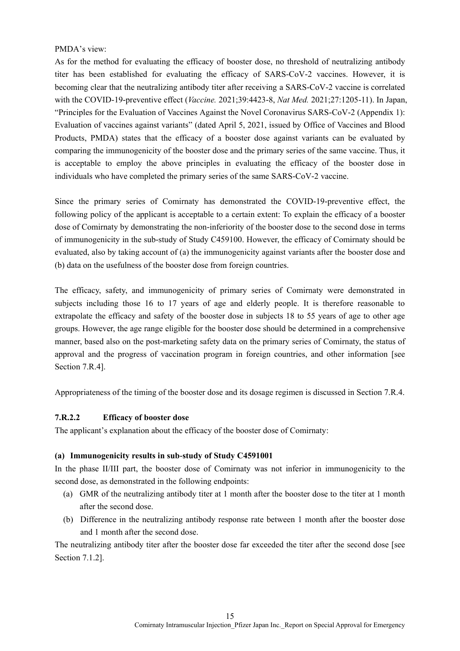### PMDA's view:

As for the method for evaluating the efficacy of booster dose, no threshold of neutralizing antibody titer has been established for evaluating the efficacy of SARS-CoV-2 vaccines. However, it is becoming clear that the neutralizing antibody titer after receiving a SARS-CoV-2 vaccine is correlated with the COVID-19-preventive effect (*Vaccine.* 2021;39:4423-8, *Nat Med.* 2021;27:1205-11). In Japan, "Principles for the Evaluation of Vaccines Against the Novel Coronavirus SARS-CoV-2 (Appendix 1): Evaluation of vaccines against variants" (dated April 5, 2021, issued by Office of Vaccines and Blood Products, PMDA) states that the efficacy of a booster dose against variants can be evaluated by comparing the immunogenicity of the booster dose and the primary series of the same vaccine. Thus, it is acceptable to employ the above principles in evaluating the efficacy of the booster dose in individuals who have completed the primary series of the same SARS-CoV-2 vaccine.

Since the primary series of Comirnaty has demonstrated the COVID-19-preventive effect, the following policy of the applicant is acceptable to a certain extent: To explain the efficacy of a booster dose of Comirnaty by demonstrating the non-inferiority of the booster dose to the second dose in terms of immunogenicity in the sub-study of Study C459100. However, the efficacy of Comirnaty should be evaluated, also by taking account of (a) the immunogenicity against variants after the booster dose and (b) data on the usefulness of the booster dose from foreign countries.

The efficacy, safety, and immunogenicity of primary series of Comirnaty were demonstrated in subjects including those 16 to 17 years of age and elderly people. It is therefore reasonable to extrapolate the efficacy and safety of the booster dose in subjects 18 to 55 years of age to other age groups. However, the age range eligible for the booster dose should be determined in a comprehensive manner, based also on the post-marketing safety data on the primary series of Comirnaty, the status of approval and the progress of vaccination program in foreign countries, and other information [see Section 7.R.4].

Appropriateness of the timing of the booster dose and its dosage regimen is discussed in Section 7.R.4.

## **7.R.2.2 Efficacy of booster dose**

The applicant's explanation about the efficacy of the booster dose of Comirnaty:

#### **(a) Immunogenicity results in sub-study of Study C4591001**

In the phase II/III part, the booster dose of Comirnaty was not inferior in immunogenicity to the second dose, as demonstrated in the following endpoints:

- (a) GMR of the neutralizing antibody titer at 1 month after the booster dose to the titer at 1 month after the second dose.
- (b) Difference in the neutralizing antibody response rate between 1 month after the booster dose and 1 month after the second dose.

The neutralizing antibody titer after the booster dose far exceeded the titer after the second dose [see Section 7.1.2].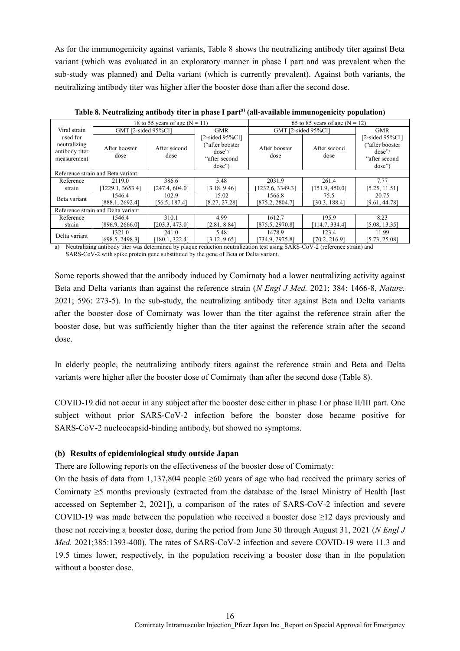As for the immunogenicity against variants, Table 8 shows the neutralizing antibody titer against Beta variant (which was evaluated in an exploratory manner in phase I part and was prevalent when the sub-study was planned) and Delta variant (which is currently prevalent). Against both variants, the neutralizing antibody titer was higher after the booster dose than after the second dose.

| 18 to 55 years of age ( $N = 11$ ) |                                                                         | 65 to 85 years of age ( $N = 12$ )                                          |                           |                        |                                                                              |
|------------------------------------|-------------------------------------------------------------------------|-----------------------------------------------------------------------------|---------------------------|------------------------|------------------------------------------------------------------------------|
|                                    |                                                                         | <b>GMR</b>                                                                  |                           |                        | <b>GMR</b>                                                                   |
| After booster<br>dose              | After second<br>dose                                                    | $[2-sided 95\%CI]$<br>"after booster"<br>dose''/<br>"after second<br>dose") | After booster<br>dose     | After second<br>dose   | $[2-sided 95\%CI]$<br>"after booster"<br>dose''/<br>"after second"<br>dose'' |
|                                    |                                                                         |                                                                             |                           |                        |                                                                              |
| 2119.0                             | 386.6                                                                   | 5.48                                                                        | 2031.9                    | 261.4                  | 7.77                                                                         |
| [1229.1, 3653.4]                   | [247.4, 604.0]                                                          | [3.18, 9.46]                                                                | 1232.6, 3349.31           | [151.9, 450.0]         | [5.25, 11.51]                                                                |
| 1546.4<br>[888.1, 2692.4]          | 102.9<br>[56.5, 187.4]                                                  | 15.02<br>[8.27, 27.28]                                                      | 1566.8<br>[875.2, 2804.7] | 75.5<br>[30.3, 188.4]  | 20.75<br>[9.61, 44.78]                                                       |
|                                    |                                                                         |                                                                             |                           |                        |                                                                              |
| 1546.4                             | 310.1                                                                   | 4.99                                                                        | 1612.7                    | 195.9                  | 8.23                                                                         |
| [896.9, 2666.0]                    | [203.3, 473.0]                                                          | [2.81, 8.84]                                                                | [875.5, 2970.8]           | [114.7, 334.4]         | [5.08, 13.35]                                                                |
| 1321.0<br>[698.5, 2498.3]          | 241.0<br>$180.1, 322.4$ ]                                               | 5.48<br>[3.12, 9.65]                                                        | 1478.9<br>[734.9, 2975.8] | 123.4<br>[70.2, 216.9] | 11.99<br>[5.73, 25.08]                                                       |
|                                    | Reference strain and Beta variant<br>Reference strain and Delta variant | GMT [2-sided 95%CI]                                                         |                           |                        | GMT [2-sided 95%CI]                                                          |

**Table 8. Neutralizing antibody titer in phase I parta) (all-available immunogenicity population)**

a) Neutralizing antibody titer was determined by plaque reduction neutralization test using SARS-CoV-2 (reference strain) and SARS-CoV-2 with spike protein gene substituted by the gene of Beta or Delta variant.

Some reports showed that the antibody induced by Comirnaty had a lower neutralizing activity against Beta and Delta variants than against the reference strain (*N Engl J Med.* 2021; 384: 1466-8, *Nature.* 2021; 596: 273-5). In the sub-study, the neutralizing antibody titer against Beta and Delta variants after the booster dose of Comirnaty was lower than the titer against the reference strain after the booster dose, but was sufficiently higher than the titer against the reference strain after the second dose.

In elderly people, the neutralizing antibody titers against the reference strain and Beta and Delta variants were higher after the booster dose of Comirnaty than after the second dose (Table 8).

COVID-19 did not occur in any subject after the booster dose either in phase I or phase II/III part. One subject without prior SARS-CoV-2 infection before the booster dose became positive for SARS-CoV-2 nucleocapsid-binding antibody, but showed no symptoms.

#### **(b) Results of epidemiological study outside Japan**

There are following reports on the effectiveness of the booster dose of Comirnaty:

On the basis of data from 1,137,804 people  $\geq 60$  years of age who had received the primary series of Comirnaty ≥5 months previously (extracted from the database of the Israel Ministry of Health [last accessed on September 2, 2021]), a comparison of the rates of SARS-CoV-2 infection and severe COVID-19 was made between the population who received a booster dose  $\geq$ 12 days previously and those not receiving a booster dose, during the period from June 30 through August 31, 2021 (*N Engl J Med.* 2021;385:1393-400). The rates of SARS-CoV-2 infection and severe COVID-19 were 11.3 and 19.5 times lower, respectively, in the population receiving a booster dose than in the population without a booster dose.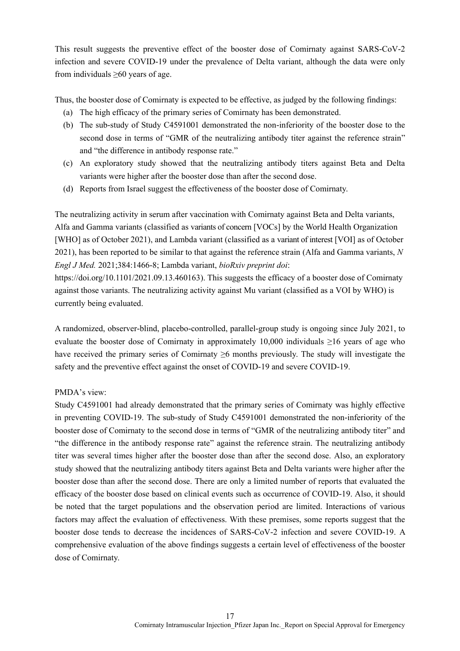This result suggests the preventive effect of the booster dose of Comirnaty against SARS-CoV-2 infection and severe COVID-19 under the prevalence of Delta variant, although the data were only from individuals ≥60 years of age.

Thus, the booster dose of Comirnaty is expected to be effective, as judged by the following findings:

- (a) The high efficacy of the primary series of Comirnaty has been demonstrated.
- (b) The sub-study of Study C4591001 demonstrated the non-inferiority of the booster dose to the second dose in terms of "GMR of the neutralizing antibody titer against the reference strain" and "the difference in antibody response rate."
- (c) An exploratory study showed that the neutralizing antibody titers against Beta and Delta variants were higher after the booster dose than after the second dose.
- (d) Reports from Israel suggest the effectiveness of the booster dose of Comirnaty.

The neutralizing activity in serum after vaccination with Comirnaty against Beta and Delta variants, Alfa and Gamma variants (classified as variants of concern [VOCs] by the World Health Organization [WHO] as of October 2021), and Lambda variant (classified as a variant of interest [VOI] as of October 2021), has been reported to be similar to that against the reference strain (Alfa and Gamma variants, *N Engl J Med.* 2021;384:1466-8; Lambda variant, *bioRxiv preprint doi*:

[https://doi.org/10.1101/2021.09.13.460163\)](https://doi.org/10.1101/2021.09.13.460163). This suggests the efficacy of a booster dose of Comirnaty against those variants. The neutralizing activity against Mu variant (classified as a VOI by WHO) is currently being evaluated.

A randomized, observer-blind, placebo-controlled, parallel-group study is ongoing since July 2021, to evaluate the booster dose of Comirnaty in approximately 10,000 individuals  $\geq 16$  years of age who have received the primary series of Comirnaty ≥6 months previously. The study will investigate the safety and the preventive effect against the onset of COVID-19 and severe COVID-19.

#### PMDA's view:

Study C4591001 had already demonstrated that the primary series of Comirnaty was highly effective in preventing COVID-19. The sub-study of Study C4591001 demonstrated the non-inferiority of the booster dose of Comirnaty to the second dose in terms of "GMR of the neutralizing antibody titer" and "the difference in the antibody response rate" against the reference strain. The neutralizing antibody titer was several times higher after the booster dose than after the second dose. Also, an exploratory study showed that the neutralizing antibody titers against Beta and Delta variants were higher after the booster dose than after the second dose. There are only a limited number of reports that evaluated the efficacy of the booster dose based on clinical events such as occurrence of COVID-19. Also, it should be noted that the target populations and the observation period are limited. Interactions of various factors may affect the evaluation of effectiveness. With these premises, some reports suggest that the booster dose tends to decrease the incidences of SARS-CoV-2 infection and severe COVID-19. A comprehensive evaluation of the above findings suggests a certain level of effectiveness of the booster dose of Comirnaty.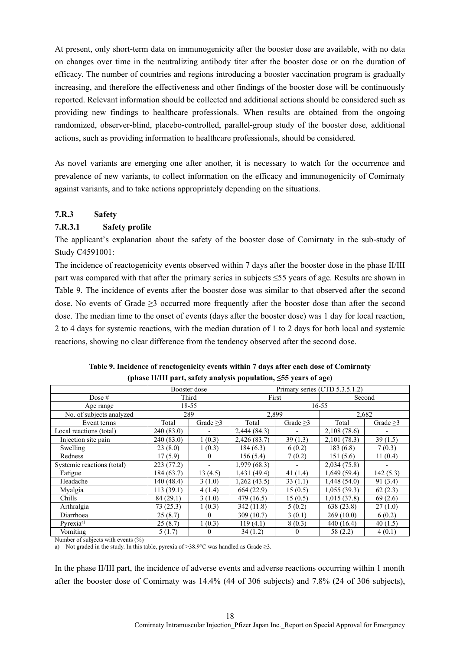At present, only short-term data on immunogenicity after the booster dose are available, with no data on changes over time in the neutralizing antibody titer after the booster dose or on the duration of efficacy. The number of countries and regions introducing a booster vaccination program is gradually increasing, and therefore the effectiveness and other findings of the booster dose will be continuously reported. Relevant information should be collected and additional actions should be considered such as providing new findings to healthcare professionals. When results are obtained from the ongoing randomized, observer-blind, placebo-controlled, parallel-group study of the booster dose, additional actions, such as providing information to healthcare professionals, should be considered.

As novel variants are emerging one after another, it is necessary to watch for the occurrence and prevalence of new variants, to collect information on the efficacy and immunogenicity of Comirnaty against variants, and to take actions appropriately depending on the situations.

## **7.R.3 Safety**

### **7.R.3.1 Safety profile**

The applicant's explanation about the safety of the booster dose of Comirnaty in the sub-study of Study C4591001:

The incidence of reactogenicity events observed within 7 days after the booster dose in the phase II/III part was compared with that after the primary series in subjects ≤55 years of age. Results are shown in Table 9. The incidence of events after the booster dose was similar to that observed after the second dose. No events of Grade ≥3 occurred more frequently after the booster dose than after the second dose. The median time to the onset of events (days after the booster dose) was 1 day for local reaction, 2 to 4 days for systemic reactions, with the median duration of 1 to 2 days for both local and systemic reactions, showing no clear difference from the tendency observed after the second dose.

|                            | Booster dose |                | Primary series (CTD 5.3.5.1.2) |                |             |                |
|----------------------------|--------------|----------------|--------------------------------|----------------|-------------|----------------|
| Dose $#$                   | Third        |                | First                          |                | Second      |                |
| Age range                  |              | 18-55          |                                |                | 16-55       |                |
| No. of subjects analyzed   | 289          |                | 2.899                          |                | 2.682       |                |
| Event terms                | Total        | Grade $\geq$ 3 | Total                          | Grade $\geq$ 3 | Total       | Grade $\geq$ 3 |
| Local reactions (total)    | 240 (83.0)   |                | 2,444 (84.3)                   |                | 2,108(78.6) |                |
| Injection site pain        | 240 (83.0)   | 1(0.3)         | 2,426 (83.7)                   | 39(1.3)        | 2,101(78.3) | 39(1.5)        |
| Swelling                   | 23(8.0)      | 1(0.3)         | 184(6.3)                       | 6(0.2)         | 183(6.8)    | 7(0.3)         |
| Redness                    | 17(5.9)      | $\theta$       | 156(5.4)                       | 7(0.2)         | 151 (5.6)   | 11(0.4)        |
| Systemic reactions (total) | 223(77.2)    |                | 1,979(68.3)                    |                | 2,034(75.8) |                |
| Fatigue                    | 184(63.7)    | 13(4.5)        | 1,431 (49.4)                   | 41 $(1.4)$     | 1,649(59.4) | 142(5.3)       |
| Headache                   | 140 (48.4)   | 3(1.0)         | 1,262 (43.5)                   | 33(1.1)        | 1,448(54.0) | 91 (3.4)       |
| Myalgia                    | 113(39.1)    | 4(1.4)         | 664(22.9)                      | 15(0.5)        | 1,055(39.3) | 62(2.3)        |
| Chills                     | 84(29.1)     | 3(1.0)         | 479 (16.5)                     | 15(0.5)        | 1,015(37.8) | 69(2.6)        |
| Arthralgia                 | 73(25.3)     | 1(0.3)         | 342 (11.8)                     | 5(0.2)         | 638 (23.8)  | 27(1.0)        |
| Diarrhoea                  | 25(8.7)      | $\Omega$       | 309 (10.7)                     | 3(0.1)         | 269(10.0)   | 6(0.2)         |
| Pyrexia <sup>a)</sup>      | 25(8.7)      | 1(0.3)         | 119(4.1)                       | 8(0.3)         | 440 (16.4)  | 40(1.5)        |
| Vomiting                   | 5(1.7)       | $\theta$       | 34(1.2)                        | $\Omega$       | 58 (2.2)    | 4(0.1)         |

**Table 9. Incidence of reactogenicity events within 7 days after each dose of Comirnaty (phase II/III part, safety analysis population, ≤55 years of age)**

Number of subjects with events  $(\%)$ 

a) Not graded in the study. In this table, pyrexia of >38.9°C was handled as Grade  $\geq$ 3.

In the phase II/III part, the incidence of adverse events and adverse reactions occurring within 1 month after the booster dose of Comirnaty was 14.4% (44 of 306 subjects) and 7.8% (24 of 306 subjects),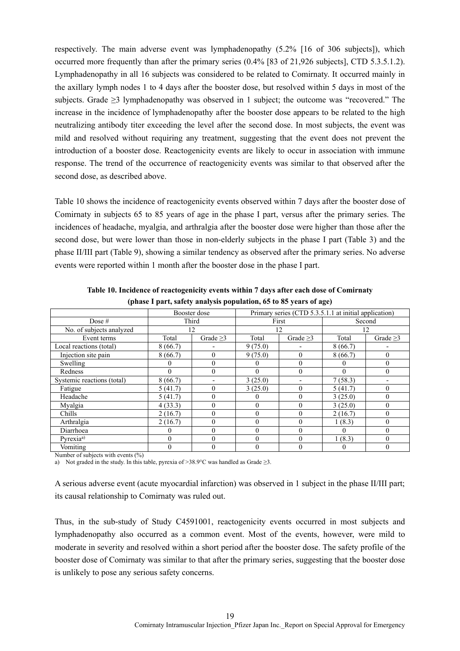respectively. The main adverse event was lymphadenopathy (5.2% [16 of 306 subjects]), which occurred more frequently than after the primary series (0.4% [83 of 21,926 subjects], CTD 5.3.5.1.2). Lymphadenopathy in all 16 subjects was considered to be related to Comirnaty. It occurred mainly in the axillary lymph nodes 1 to 4 days after the booster dose, but resolved within 5 days in most of the subjects. Grade ≥3 lymphadenopathy was observed in 1 subject; the outcome was "recovered." The increase in the incidence of lymphadenopathy after the booster dose appears to be related to the high neutralizing antibody titer exceeding the level after the second dose. In most subjects, the event was mild and resolved without requiring any treatment, suggesting that the event does not prevent the introduction of a booster dose. Reactogenicity events are likely to occur in association with immune response. The trend of the occurrence of reactogenicity events was similar to that observed after the second dose, as described above.

Table 10 shows the incidence of reactogenicity events observed within 7 days after the booster dose of Comirnaty in subjects 65 to 85 years of age in the phase I part, versus after the primary series. The incidences of headache, myalgia, and arthralgia after the booster dose were higher than those after the second dose, but were lower than those in non-elderly subjects in the phase I part (Table 3) and the phase II/III part (Table 9), showing a similar tendency as observed after the primary series. No adverse events were reported within 1 month after the booster dose in the phase I part.

|                            | Booster dose |            | Primary series (CTD 5.3.5.1.1 at initial application) |                  |         |            |
|----------------------------|--------------|------------|-------------------------------------------------------|------------------|---------|------------|
| Dose $#$                   |              | Third      |                                                       | First            |         | Second     |
| No. of subjects analyzed   |              | 12         |                                                       | 12               |         | 12         |
| Event terms                | Total        | Grade $>3$ | Total                                                 | Grade $>3$       | Total   | Grade $>3$ |
| Local reactions (total)    | 8(66.7)      |            | 9(75.0)                                               |                  | 8(66.7) |            |
| Injection site pain        | 8(66.7)      | $\theta$   | 9(75.0)                                               | $\mathbf{0}$     | 8(66.7) | $\theta$   |
| Swelling                   |              | $\theta$   |                                                       | $\theta$         |         | $\theta$   |
| Redness                    | $\theta$     | $\Omega$   | 0                                                     | $\theta$         |         | $\theta$   |
| Systemic reactions (total) | 8(66.7)      |            | 3(25.0)                                               |                  | 7(58.3) |            |
| Fatigue                    | 5(41.7)      | $\theta$   | 3(25.0)                                               | $\mathbf{0}$     | 5(41.7) | $\theta$   |
| Headache                   | 5(41.7)      | $\theta$   | U                                                     | $\overline{0}$   | 3(25.0) | $\theta$   |
| Myalgia                    | 4(33.3)      | $\theta$   | 0                                                     | $\theta$         | 3(25.0) | $\theta$   |
| Chills                     | 2(16.7)      | $\theta$   | 0                                                     | $\boldsymbol{0}$ | 2(16.7) | $\theta$   |
| Arthralgia                 | 2(16.7)      | $\Omega$   | 0                                                     | $\mathbf{0}$     | 1(8.3)  | $\theta$   |
| Diarrhoea                  |              | $\Omega$   | 0                                                     | $\theta$         |         | $\theta$   |
| Pyrexia <sup>a)</sup>      | $\Omega$     | $\Omega$   |                                                       | $\theta$         | 1(8.3)  | $\Omega$   |
| Vomiting                   |              |            |                                                       |                  |         |            |

**Table 10. Incidence of reactogenicity events within 7 days after each dose of Comirnaty (phase I part, safety analysis population, 65 to 85 years of age)**

Number of subjects with events  $(\%)$ 

a) Not graded in the study. In this table, pyrexia of >38.9°C was handled as Grade  $\geq$ 3.

A serious adverse event (acute myocardial infarction) was observed in 1 subject in the phase II/III part; its causal relationship to Comirnaty was ruled out.

Thus, in the sub-study of Study C4591001, reactogenicity events occurred in most subjects and lymphadenopathy also occurred as a common event. Most of the events, however, were mild to moderate in severity and resolved within a short period after the booster dose. The safety profile of the booster dose of Comirnaty was similar to that after the primary series, suggesting that the booster dose is unlikely to pose any serious safety concerns.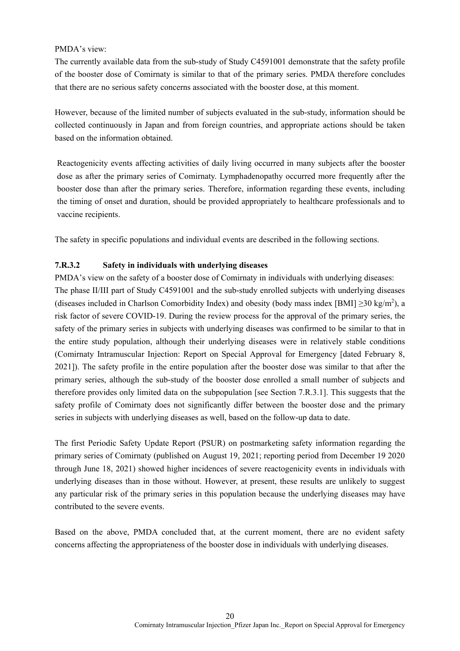### PMDA's view:

The currently available data from the sub-study of Study C4591001 demonstrate that the safety profile of the booster dose of Comirnaty is similar to that of the primary series. PMDA therefore concludes that there are no serious safety concerns associated with the booster dose, at this moment.

However, because of the limited number of subjects evaluated in the sub-study, information should be collected continuously in Japan and from foreign countries, and appropriate actions should be taken based on the information obtained.

Reactogenicity events affecting activities of daily living occurred in many subjects after the booster dose as after the primary series of Comirnaty. Lymphadenopathy occurred more frequently after the booster dose than after the primary series. Therefore, information regarding these events, including the timing of onset and duration, should be provided appropriately to healthcare professionals and to vaccine recipients.

The safety in specific populations and individual events are described in the following sections.

## **7.R.3.2 Safety in individuals with underlying diseases**

PMDA's view on the safety of a booster dose of Comirnaty in individuals with underlying diseases: The phase II/III part of Study C4591001 and the sub-study enrolled subjects with underlying diseases (diseases included in Charlson Comorbidity Index) and obesity (body mass index [BMI]  $\geq$ 30 kg/m<sup>2</sup>), a risk factor of severe COVID-19. During the review process for the approval of the primary series, the safety of the primary series in subjects with underlying diseases was confirmed to be similar to that in the entire study population, although their underlying diseases were in relatively stable conditions (Comirnaty Intramuscular Injection: Report on Special Approval for Emergency [dated February 8, 2021]). The safety profile in the entire population after the booster dose was similar to that after the primary series, although the sub-study of the booster dose enrolled a small number of subjects and therefore provides only limited data on the subpopulation [see Section 7.R.3.1]. This suggests that the safety profile of Comirnaty does not significantly differ between the booster dose and the primary series in subjects with underlying diseases as well, based on the follow-up data to date.

The first Periodic Safety Update Report (PSUR) on postmarketing safety information regarding the primary series of Comirnaty (published on August 19, 2021; reporting period from December 19 2020 through June 18, 2021) showed higher incidences of severe reactogenicity events in individuals with underlying diseases than in those without. However, at present, these results are unlikely to suggest any particular risk of the primary series in this population because the underlying diseases may have contributed to the severe events.

Based on the above, PMDA concluded that, at the current moment, there are no evident safety concerns affecting the appropriateness of the booster dose in individuals with underlying diseases.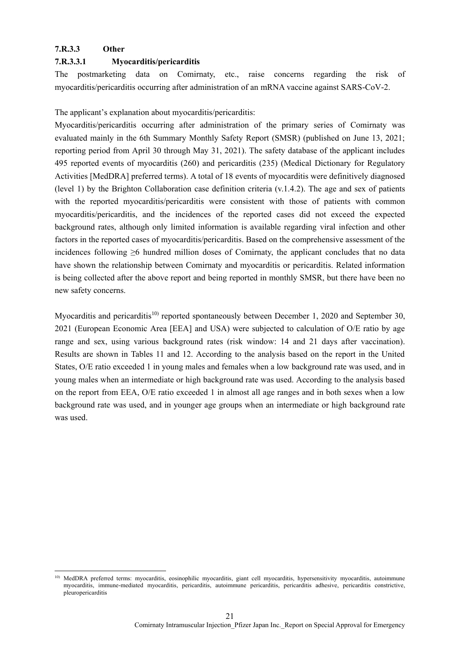### **7.R.3.3 Other**

#### **7.R.3.3.1 Myocarditis/pericarditis**

The postmarketing data on Comirnaty, etc., raise concerns regarding the risk of myocarditis/pericarditis occurring after administration of an mRNA vaccine against SARS-CoV-2.

The applicant's explanation about myocarditis/pericarditis:

Myocarditis/pericarditis occurring after administration of the primary series of Comirnaty was evaluated mainly in the 6th Summary Monthly Safety Report (SMSR) (published on June 13, 2021; reporting period from April 30 through May 31, 2021). The safety database of the applicant includes 495 reported events of myocarditis (260) and pericarditis (235) (Medical Dictionary for Regulatory Activities [MedDRA] preferred terms). A total of 18 events of myocarditis were definitively diagnosed (level 1) by the Brighton Collaboration case definition criteria  $(v.1.4.2)$ . The age and sex of patients with the reported myocarditis/pericarditis were consistent with those of patients with common myocarditis/pericarditis, and the incidences of the reported cases did not exceed the expected background rates, although only limited information is available regarding viral infection and other factors in the reported cases of myocarditis/pericarditis. Based on the comprehensive assessment of the incidences following ≥6 hundred million doses of Comirnaty, the applicant concludes that no data have shown the relationship between Comirnaty and myocarditis or pericarditis. Related information is being collected after the above report and being reported in monthly SMSR, but there have been no new safety concerns.

Myocarditis and pericarditis<sup>10)</sup> reported spontaneously between December 1, 2020 and September 30, 2021 (European Economic Area [EEA] and USA) were subjected to calculation of O/E ratio by age range and sex, using various background rates (risk window: 14 and 21 days after vaccination). Results are shown in Tables 11 and 12. According to the analysis based on the report in the United States, O/E ratio exceeded 1 in young males and females when a low background rate was used, and in young males when an intermediate or high background rate was used. According to the analysis based on the report from EEA, O/E ratio exceeded 1 in almost all age ranges and in both sexes when a low background rate was used, and in younger age groups when an intermediate or high background rate was used.

<sup>1</sup> <sup>10)</sup> MedDRA preferred terms: myocarditis, eosinophilic myocarditis, giant cell myocarditis, hypersensitivity myocarditis, autoimmune myocarditis, immune-mediated myocarditis, pericarditis, autoimmune pericarditis, pericarditis adhesive, pericarditis constrictive, pleuropericarditis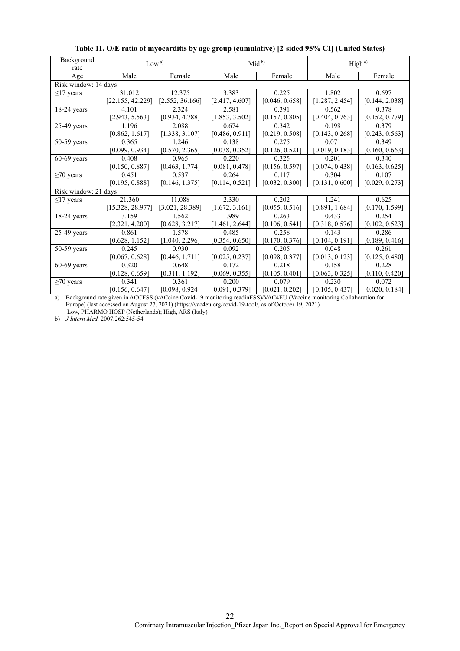| Background           | Low <sup>a</sup> |                 |                | $Mid^{b}$      | High <sup>a)</sup> |                |
|----------------------|------------------|-----------------|----------------|----------------|--------------------|----------------|
| rate                 |                  |                 |                |                |                    |                |
| Age                  | Male             | Female          | Male           | Female         | Male               | Female         |
| Risk window: 14 days |                  |                 |                |                |                    |                |
| $\leq$ 17 years      | 31.012           | 12.375          | 3.383          | 0.225          | 1.802              | 0.697          |
|                      | [22.155, 42.229] | [2.552, 36.166] | [2.417, 4.607] | [0.046, 0.658] | [1.287, 2.454]     | [0.144, 2.038] |
| $18-24$ years        | 4.101            | 2.324           | 2.581          | 0.391          | 0.562              | 0.378          |
|                      | [2.943, 5.563]   | [0.934, 4.788]  | [1.853, 3.502] | [0.157, 0.805] | [0.404, 0.763]     | [0.152, 0.779] |
| $25-49$ years        | 1.196            | 2.088           | 0.674          | 0.342          | 0.198              | 0.379          |
|                      | [0.862, 1.617]   | [1.338, 3.107]  | [0.486, 0.911] | [0.219, 0.508] | [0.143, 0.268]     | [0.243, 0.563] |
| $50-59$ years        | 0.365            | 1.246           | 0.138          | 0.275          | 0.071              | 0.349          |
|                      | [0.099, 0.934]   | [0.570, 2.365]  | [0.038, 0.352] | [0.126, 0.521] | [0.019, 0.183]     | [0.160, 0.663] |
| $60-69$ years        | 0.408            | 0.965           | 0.220          | 0.325          | 0.201              | 0.340          |
|                      | [0.150, 0.887]   | [0.463, 1.774]  | [0.081, 0.478] | [0.156, 0.597] | [0.074, 0.438]     | [0.163, 0.625] |
| $\geq$ 70 years      | 0.451            | 0.537           | 0.264          | 0.117          | 0.304              | 0.107          |
|                      | [0.195, 0.888]   | [0.146, 1.375]  | [0.114, 0.521] | [0.032, 0.300] | [0.131, 0.600]     | [0.029, 0.273] |
| Risk window: 21 days |                  |                 |                |                |                    |                |
| $\leq$ 17 years      | 21.360           | 11.088          | 2.330          | 0.202          | 1.241              | 0.625          |
|                      | [15.328, 28.977] | [3.021, 28.389] | [1.672, 3.161] | [0.055, 0.516] | [0.891, 1.684]     | [0.170, 1.599] |
| $18-24$ years        | 3.159            | 1.562           | 1.989          | 0.263          | 0.433              | 0.254          |
|                      | [2.321, 4.200]   | [0.628, 3.217]  | [1.461, 2.644] | [0.106, 0.541] | [0.318, 0.576]     | [0.102, 0.523] |
| $25-49$ years        | 0.861            | 1.578           | 0.485          | 0.258          | 0.143              | 0.286          |
|                      | [0.628, 1.152]   | [1.040, 2.296]  | [0.354, 0.650] | [0.170, 0.376] | [0.104, 0.191]     | [0.189, 0.416] |
| $50-59$ years        | 0.245            | 0.930           | 0.092          | 0.205          | 0.048              | 0.261          |
|                      | [0.067, 0.628]   | [0.446, 1.711]  | [0.025, 0.237] | [0.098, 0.377] | [0.013, 0.123]     | [0.125, 0.480] |
| $60-69$ years        | 0.320            | 0.648           | 0.172          | 0.218          | 0.158              | 0.228          |
|                      | [0.128, 0.659]   | [0.311, 1.192]  | [0.069, 0.355] | [0.105, 0.401] | [0.063, 0.325]     | [0.110, 0.420] |
| $\geq$ 70 years      | 0.341            | 0.361           | 0.200          | 0.079          | 0.230              | 0.072          |
|                      | [0.156, 0.647]   | [0.098, 0.924]  | [0.091, 0.379] | [0.021, 0.202] | [0.105, 0.437]     | [0.020, 0.184] |

**Table 11. O/E ratio of myocarditis by age group (cumulative) [2-sided 95% CI] (United States)**

a) Background rate given in ACCESS (vACcine Covid-19 monitoring readinESS)/VAC4EU (Vaccine monitoring Collaboration for Europe) (last accessed on August 27, 2021) (https://vac4eu.org/covid-19-tool/, as of October 19, 2021) Low, PHARMO HOSP (Netherlands); High, ARS (Italy)

b) *J Intern Med.* 2007;262:545-54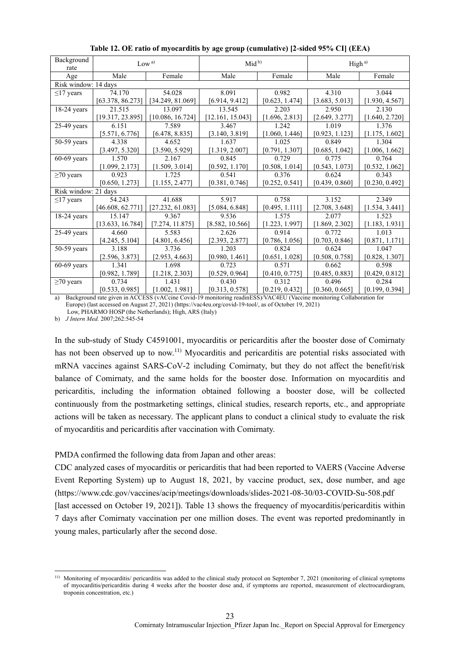| Background<br>rate   |                  | Low <sup>a</sup> | Mid <sup>b</sup> |                | High <sup>a)</sup> |                |
|----------------------|------------------|------------------|------------------|----------------|--------------------|----------------|
| Age                  | Male             | Female           | Male             | Female         | Male               | Female         |
| Risk window: 14 days |                  |                  |                  |                |                    |                |
| $\leq$ 17 years      | 74.170           | 54.028           | 8.091            | 0.982          | 4.310              | 3.044          |
|                      | [63.378, 86.273] | [34.249, 81.069] | [6.914, 9.412]   | [0.623, 1.474] | [3.683, 5.013]     | [1.930, 4.567] |
| $18-24$ years        | 21.515           | 13.097           | 13.545           | 2.203          | 2.950              | 2.130          |
|                      | [19.317, 23.895] | [10.086, 16.724] | [12.161, 15.043] | [1.696, 2.813] | [2.649, 3.277]     | [1.640, 2.720] |
| $25-49$ years        | 6.151            | 7.589            | 3.467            | 1.242          | 1.019              | 1.376          |
|                      | [5.571, 6.776]   | [6.478, 8.835]   | [3.140, 3.819]   | [1.060, 1.446] | [0.923, 1.123]     | [1.175, 1.602] |
| $50-59$ years        | 4.338            | 4.652            | 1.637            | 1.025          | 0.849              | 1.304          |
|                      | [3.497, 5.320]   | [3.590, 5.929]   | [1.319, 2.007]   | [0.791, 1.307] | [0.685, 1.042]     | [1.006, 1.662] |
| $60-69$ years        | 1.570            | 2.167            | 0.845            | 0.729          | 0.775              | 0.764          |
|                      | [1.099, 2.173]   | [1.509, 3.014]   | [0.592, 1.170]   | [0.508, 1.014] | [0.543, 1.073]     | [0.532, 1.062] |
| $\geq$ 70 years      | 0.923            | 1.725            | 0.541            | 0.376          | 0.624              | 0.343          |
|                      | [0.650, 1.273]   | [1.155, 2.477]   | [0.381, 0.746]   | [0.252, 0.541] | [0.439, 0.860]     | [0.230, 0.492] |
| Risk window: 21 days |                  |                  |                  |                |                    |                |
| $\leq$ 17 years      | 54.243           | 41.688           | 5.917            | 0.758          | 3.152              | 2.349          |
|                      | [46.608, 62.771] | [27.232, 61.083] | [5.084, 6.848]   | [0.495, 1.111] | [2.708, 3.648]     | [1.534, 3.441] |
| $18-24$ years        | 15.147           | 9.367            | 9.536            | 1.575          | 2.077              | 1.523          |
|                      | [13.633, 16.784] | [7.274, 11.875]  | [8.582, 10.566]  | [1.223, 1.997] | [1.869, 2.302]     | [1.183, 1.931] |
| $25-49$ years        | 4.660            | 5.583            | 2.626            | 0.914          | 0.772              | 1.013          |
|                      | [4.245, 5.104]   | [4.801, 6.456]   | [2.393, 2.877]   | [0.786, 1.056] | [0.703, 0.846]     | [0.871, 1.171] |
| $50-59$ years        | 3.188            | 3.736            | 1.203            | 0.824          | 0.624              | 1.047          |
|                      | [2.596, 3.873]   | [2.953, 4.663]   | [0.980, 1.461]   | [0.651, 1.028] | [0.508, 0.758]     | [0.828, 1.307] |
| $60-69$ years        | 1.341            | 1.698            | 0.723            | 0.571          | 0.662              | 0.598          |
|                      | [0.982, 1.789]   | [1.218, 2.303]   | [0.529, 0.964]   | [0.410, 0.775] | [0.485, 0.883]     | [0.429, 0.812] |
| $\geq$ 70 years      | 0.734            | 1.431            | 0.430            | 0.312          | 0.496              | 0.284          |
|                      | [0.533, 0.985]   | [1.002, 1.981]   | [0.313, 0.578]   | [0.219, 0.432] | [0.360, 0.665]     | [0.199, 0.394] |

**Table 12. OE ratio of myocarditis by age group (cumulative) [2-sided 95% CI] (EEA)**

a) Background rate given in ACCESS (vACcine Covid-19 monitoring readinESS)/VAC4EU (Vaccine monitoring Collaboration for Europe) (last accessed on August 27, 2021) (https://vac4eu.org/covid-19-tool/, as of October 19, 2021) Low, PHARMO HOSP (the Netherlands); High, ARS (Italy)

b) *J Intern Med.* 2007;262:545-54

In the sub-study of Study C4591001, myocarditis or pericarditis after the booster dose of Comirnaty has not been observed up to now.<sup>11)</sup> Myocarditis and pericarditis are potential risks associated with mRNA vaccines against SARS-CoV-2 including Comirnaty, but they do not affect the benefit/risk balance of Comirnaty, and the same holds for the booster dose. Information on myocarditis and pericarditis, including the information obtained following a booster dose, will be collected continuously from the postmarketing settings, clinical studies, research reports, etc., and appropriate actions will be taken as necessary. The applicant plans to conduct a clinical study to evaluate the risk of myocarditis and pericarditis after vaccination with Comirnaty.

PMDA confirmed the following data from Japan and other areas:

CDC analyzed cases of myocarditis or pericarditis that had been reported to VAERS (Vaccine Adverse Event Reporting System) up to August 18, 2021, by vaccine product, sex, dose number, and age (https://www.cdc.gov/vaccines/acip/meetings/downloads/slides-2021-08-30/03-COVID-Su-508.pdf [last accessed on October 19, 2021]). Table 13 shows the frequency of myocarditis/pericarditis within 7 days after Comirnaty vaccination per one million doses. The event was reported predominantly in young males, particularly after the second dose.

<sup>1</sup> <sup>11)</sup> Monitoring of myocarditis/ pericarditis was added to the clinical study protocol on September 7, 2021 (monitoring of clinical symptoms of myocarditis/pericarditis during 4 weeks after the booster dose and, if symptoms are reported, measurement of electrocardiogram, troponin concentration, etc.)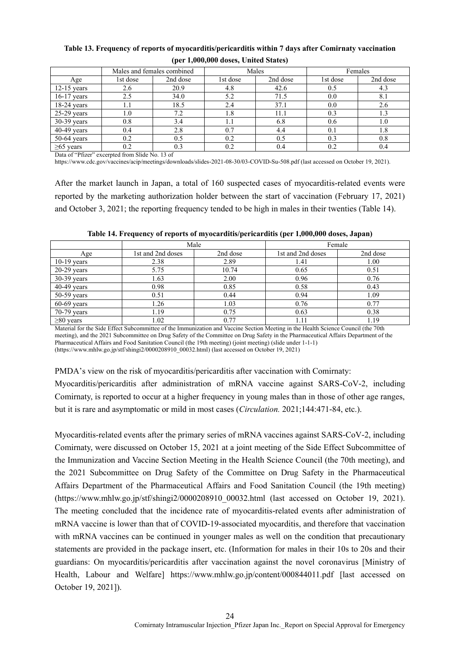| $\mathbf{v} = -1$ , and a second $\mathbf{v} = -1$ . The second second second second second second second second second second second second second second second second second second second second second second second second second s |          |                            |          |          |          |          |
|-------------------------------------------------------------------------------------------------------------------------------------------------------------------------------------------------------------------------------------------|----------|----------------------------|----------|----------|----------|----------|
|                                                                                                                                                                                                                                           |          | Males and females combined |          | Males    |          | Females  |
| Age                                                                                                                                                                                                                                       | 1st dose | 2nd dose                   | 1st dose | 2nd dose | 1st dose | 2nd dose |
| $12-15$ years                                                                                                                                                                                                                             | 2.6      | 20.9                       | 4.8      | 42.6     | 0.5      | 4.3      |
| $16-17$ years                                                                                                                                                                                                                             | 2.5      | 34.0                       | 5.2      | 71.5     | 0.0      | 8.1      |
| $18-24$ years                                                                                                                                                                                                                             | 1.1      | 18.5                       | 2.4      | 37.1     | 0.0      | 2.6      |
| $25-29$ years                                                                                                                                                                                                                             | $1.0\,$  | 7.2                        | 1.8      | 11.1     | 0.3      | 1.3      |
| 30-39 years                                                                                                                                                                                                                               | 0.8      | 3.4                        | 1.1      | 6.8      | 0.6      | 1.0      |
| $40-49$ years                                                                                                                                                                                                                             | 0.4      | 2.8                        | 0.7      | 4.4      | 0.1      | 1.8      |
| $50-64$ years                                                                                                                                                                                                                             | 0.2      | 0.5                        | 0.2      | 0.5      | 0.3      | 0.8      |
| $\geq 65$ years                                                                                                                                                                                                                           | 0.2      | 0.3                        | 0.2      | 0.4      | 0.2      | 0.4      |

#### **Table 13. Frequency of reports of myocarditis/pericarditis within 7 days after Comirnaty vaccination (per 1,000,000 doses, United States)**

Data of "Pfizer" excerpted from Slide No. 13 of

https://www.cdc.gov/vaccines/acip/meetings/downloads/slides-2021-08-30/03-COVID-Su-508.pdf (last accessed on October 19, 2021).

After the market launch in Japan, a total of 160 suspected cases of myocarditis-related events were reported by the marketing authorization holder between the start of vaccination (February 17, 2021) and October 3, 2021; the reporting frequency tended to be high in males in their twenties (Table 14).

|                 | Male              |          | Female            |          |
|-----------------|-------------------|----------|-------------------|----------|
| Age             | 1st and 2nd doses | 2nd dose | 1st and 2nd doses | 2nd dose |
| $10-19$ years   | 2.38              | 2.89     | 1.41              | 1.00     |
| $20-29$ years   | 5.75              | 10.74    | 0.65              | 0.51     |
| $30-39$ years   | 1.63              | 2.00     | 0.96              | 0.76     |
| $40-49$ years   | 0.98              | 0.85     | 0.58              | 0.43     |
| $50-59$ years   | 0.51              | 0.44     | 0.94              | 1.09     |
| $60-69$ years   | 1.26              | 1.03     | 0.76              | 0.77     |
| $70-79$ years   | 1.19              | 0.75     | 0.63              | 0.38     |
| $\geq 80$ years | 1.02              | 0.77     | 1.11              | 1.19     |

**Table 14. Frequency of reports of myocarditis/pericarditis (per 1,000,000 doses, Japan)**

Material for the Side Effect Subcommittee of the Immunization and Vaccine Section Meeting in the Health Science Council (the 70th meeting), and the 2021 Subcommittee on Drug Safety of the Committee on Drug Safety in the Pharmaceutical Affairs Department of the Pharmaceutical Affairs and Food Sanitation Council (the 19th meeting) (joint meeting) (slide under 1-1-1) (https://www.mhlw.go.jp/stf/shingi2/0000208910\_00032.html) (last accessed on October 19, 2021)

PMDA's view on the risk of myocarditis/pericarditis after vaccination with Comirnaty:

Myocarditis/pericarditis after administration of mRNA vaccine against SARS-CoV-2, including Comirnaty, is reported to occur at a higher frequency in young males than in those of other age ranges, but it is rare and asymptomatic or mild in most cases (*Circulation.* 2021;144:471-84, etc.).

Myocarditis-related events after the primary series of mRNA vaccines against SARS-CoV-2, including Comirnaty, were discussed on October 15, 2021 at a joint meeting of the Side Effect Subcommittee of the Immunization and Vaccine Section Meeting in the Health Science Council (the 70th meeting), and the 2021 Subcommittee on Drug Safety of the Committee on Drug Safety in the Pharmaceutical Affairs Department of the Pharmaceutical Affairs and Food Sanitation Council (the 19th meeting) (https://www.mhlw.go.jp/stf/shingi2/0000208910\_00032.html (last accessed on October 19, 2021). The meeting concluded that the incidence rate of myocarditis-related events after administration of mRNA vaccine is lower than that of COVID-19-associated myocarditis, and therefore that vaccination with mRNA vaccines can be continued in younger males as well on the condition that precautionary statements are provided in the package insert, etc. (Information for males in their 10s to 20s and their guardians: On myocarditis/pericarditis after vaccination against the novel coronavirus [Ministry of Health, Labour and Welfare] https://www.mhlw.go.jp/content/000844011.pdf [last accessed on October 19, 2021]).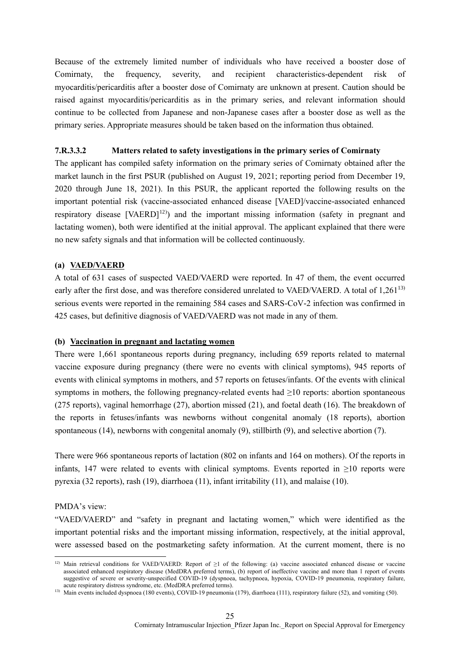Because of the extremely limited number of individuals who have received a booster dose of Comirnaty, the frequency, severity, and recipient characteristics-dependent risk of myocarditis/pericarditis after a booster dose of Comirnaty are unknown at present. Caution should be raised against myocarditis/pericarditis as in the primary series, and relevant information should continue to be collected from Japanese and non-Japanese cases after a booster dose as well as the primary series. Appropriate measures should be taken based on the information thus obtained.

#### **7.R.3.3.2 Matters related to safety investigations in the primary series of Comirnaty**

The applicant has compiled safety information on the primary series of Comirnaty obtained after the market launch in the first PSUR (published on August 19, 2021; reporting period from December 19, 2020 through June 18, 2021). In this PSUR, the applicant reported the following results on the important potential risk (vaccine-associated enhanced disease [VAED]/vaccine-associated enhanced respiratory disease  $[VAERD]^{12}$ ) and the important missing information (safety in pregnant and lactating women), both were identified at the initial approval. The applicant explained that there were no new safety signals and that information will be collected continuously.

#### **(a) VAED/VAERD**

A total of 631 cases of suspected VAED/VAERD were reported. In 47 of them, the event occurred early after the first dose, and was therefore considered unrelated to VAED/VAERD. A total of  $1.261^{13}$ serious events were reported in the remaining 584 cases and SARS-CoV-2 infection was confirmed in 425 cases, but definitive diagnosis of VAED/VAERD was not made in any of them.

#### **(b) Vaccination in pregnant and lactating women**

There were 1,661 spontaneous reports during pregnancy, including 659 reports related to maternal vaccine exposure during pregnancy (there were no events with clinical symptoms), 945 reports of events with clinical symptoms in mothers, and 57 reports on fetuses/infants. Of the events with clinical symptoms in mothers, the following pregnancy-related events had ≥10 reports: abortion spontaneous (275 reports), vaginal hemorrhage (27), abortion missed (21), and foetal death (16). The breakdown of the reports in fetuses/infants was newborns without congenital anomaly (18 reports), abortion spontaneous (14), newborns with congenital anomaly (9), stillbirth (9), and selective abortion (7).

There were 966 spontaneous reports of lactation (802 on infants and 164 on mothers). Of the reports in infants, 147 were related to events with clinical symptoms. Events reported in  $\geq$ 10 reports were pyrexia (32 reports), rash (19), diarrhoea (11), infant irritability (11), and malaise (10).

#### PMDA's view:

1

"VAED/VAERD" and "safety in pregnant and lactating women," which were identified as the important potential risks and the important missing information, respectively, at the initial approval, were assessed based on the postmarketing safety information. At the current moment, there is no

<sup>&</sup>lt;sup>12)</sup> Main retrieval conditions for VAED/VAERD: Report of  $\geq 1$  of the following: (a) vaccine associated enhanced disease or vaccine associated enhanced respiratory disease (MedDRA preferred terms), (b) report of ineffective vaccine and more than 1 report of events suggestive of severe or severity-unspecified COVID-19 (dyspnoea, tachypnoea, hypoxia, COVID-19 pneumonia, respiratory failure, acute respiratory distress syndrome, etc. (MedDRA preferred terms).

<sup>&</sup>lt;sup>13)</sup> Main events included dyspnoea (180 events), COVID-19 pneumonia (179), diarrhoea (111), respiratory failure (52), and vomiting (50).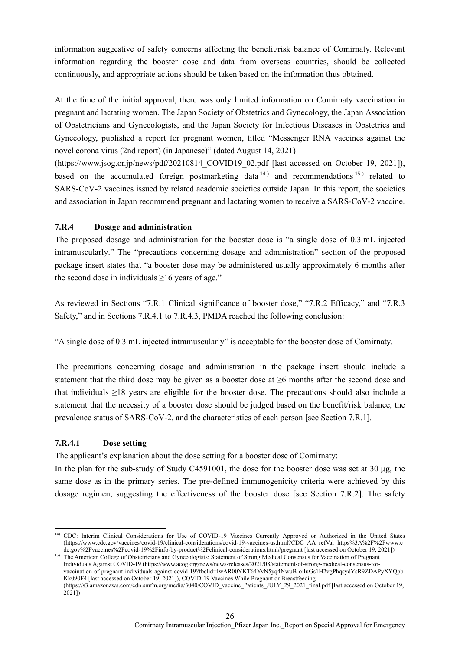information suggestive of safety concerns affecting the benefit/risk balance of Comirnaty. Relevant information regarding the booster dose and data from overseas countries, should be collected continuously, and appropriate actions should be taken based on the information thus obtained.

At the time of the initial approval, there was only limited information on Comirnaty vaccination in pregnant and lactating women. The Japan Society of Obstetrics and Gynecology, the Japan Association of Obstetricians and Gynecologists, and the Japan Society for Infectious Diseases in Obstetrics and Gynecology, published a report for pregnant women, titled "Messenger RNA vaccines against the novel corona virus (2nd report) (in Japanese)" (dated August 14, 2021)

(https://www.jsog.or.jp/news/pdf/20210814\_COVID19\_02.pdf [last accessed on October 19, 2021]), based on the accumulated foreign postmarketing data  $14$ ) and recommendations  $15$ ) related to SARS-CoV-2 vaccines issued by related academic societies outside Japan. In this report, the societies and association in Japan recommend pregnant and lactating women to receive a SARS-CoV-2 vaccine.

### **7.R.4 Dosage and administration**

The proposed dosage and administration for the booster dose is "a single dose of 0.3 mL injected intramuscularly." The "precautions concerning dosage and administration" section of the proposed package insert states that "a booster dose may be administered usually approximately 6 months after the second dose in individuals ≥16 years of age."

As reviewed in Sections "7.R.1 Clinical significance of booster dose," "7.R.2 Efficacy," and "7.R.3 Safety," and in Sections 7.R.4.1 to 7.R.4.3, PMDA reached the following conclusion:

"A single dose of 0.3 mL injected intramuscularly" is acceptable for the booster dose of Comirnaty.

The precautions concerning dosage and administration in the package insert should include a statement that the third dose may be given as a booster dose at ≥6 months after the second dose and that individuals ≥18 years are eligible for the booster dose. The precautions should also include a statement that the necessity of a booster dose should be judged based on the benefit/risk balance, the prevalence status of SARS-CoV-2, and the characteristics of each person [see Section 7.R.1].

## **7.R.4.1 Dose setting**

-

The applicant's explanation about the dose setting for a booster dose of Comirnaty:

In the plan for the sub-study of Study C4591001, the dose for the booster dose was set at  $30 \mu$ g, the same dose as in the primary series. The pre-defined immunogenicity criteria were achieved by this dosage regimen, suggesting the effectiveness of the booster dose [see Section 7.R.2]. The safety

<sup>15)</sup> The American College of Obstetricians and Gynecologists: Statement of Strong Medical Consensus for Vaccination of Pregnant Individuals Against COVID-19 (https://www.acog.org/news/news-releases/2021/08/statement-of-strong-medical-consensus-forvaccination-of-pregnant-individuals-against-covid-19?fbclid=IwAR00YKT64YvN5yq4NwuB-oiIuGs1H2vgPhqsydYsR9ZDAPyXYQpb Kk090F4 [last accessed on October 19, 2021]), COVID-19 Vaccines While Pregnant or Breastfeeding

<sup>&</sup>lt;sup>14)</sup> CDC: Interim Clinical Considerations for Use of COVID-19 Vaccines Currently Approved or Authorized in the United States (https://www.cdc.gov/vaccines/covid-19/clinical-considerations/covid-19-vaccines-us.html?CDC\_AA\_refVal=https%3A%2F%2Fwww.c dc.gov%2Fvaccines%2Fcovid-19%2Finfo-by-product%2Fclinical-considerations.html#pregnant [last accessed on October 19, 2021])

<sup>(</sup>https://s3.amazonaws.com/cdn.smfm.org/media/3040/COVID\_vaccine\_Patients\_JULY\_29\_2021\_final.pdf [last accessed on October 19, 2021])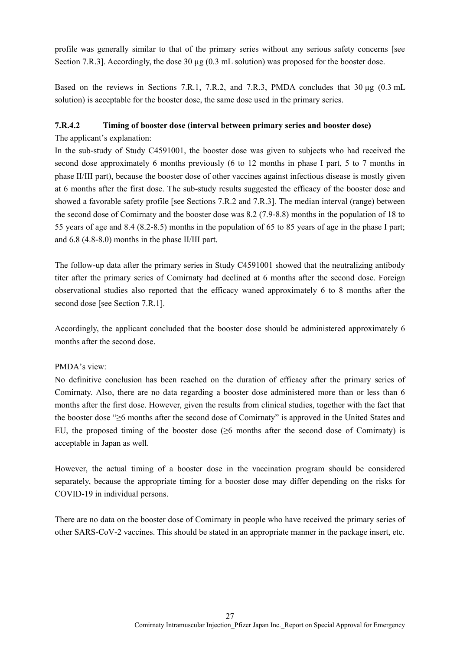profile was generally similar to that of the primary series without any serious safety concerns [see Section 7.R.3]. Accordingly, the dose 30 µg (0.3 mL solution) was proposed for the booster dose.

Based on the reviews in Sections 7.R.1, 7.R.2, and 7.R.3, PMDA concludes that 30 µg (0.3 mL) solution) is acceptable for the booster dose, the same dose used in the primary series.

# **7.R.4.2 Timing of booster dose (interval between primary series and booster dose)**

The applicant's explanation:

In the sub-study of Study C4591001, the booster dose was given to subjects who had received the second dose approximately 6 months previously (6 to 12 months in phase I part, 5 to 7 months in phase II/III part), because the booster dose of other vaccines against infectious disease is mostly given at 6 months after the first dose. The sub-study results suggested the efficacy of the booster dose and showed a favorable safety profile [see Sections 7.R.2 and 7.R.3]. The median interval (range) between the second dose of Comirnaty and the booster dose was 8.2 (7.9-8.8) months in the population of 18 to 55 years of age and 8.4 (8.2-8.5) months in the population of 65 to 85 years of age in the phase I part; and 6.8 (4.8-8.0) months in the phase II/III part.

The follow-up data after the primary series in Study C4591001 showed that the neutralizing antibody titer after the primary series of Comirnaty had declined at 6 months after the second dose. Foreign observational studies also reported that the efficacy waned approximately 6 to 8 months after the second dose [see Section 7.R.1].

Accordingly, the applicant concluded that the booster dose should be administered approximately 6 months after the second dose.

## PMDA's view:

No definitive conclusion has been reached on the duration of efficacy after the primary series of Comirnaty. Also, there are no data regarding a booster dose administered more than or less than 6 months after the first dose. However, given the results from clinical studies, together with the fact that the booster dose "≥6 months after the second dose of Comirnaty" is approved in the United States and EU, the proposed timing of the booster dose (≥6 months after the second dose of Comirnaty) is acceptable in Japan as well.

However, the actual timing of a booster dose in the vaccination program should be considered separately, because the appropriate timing for a booster dose may differ depending on the risks for COVID-19 in individual persons.

There are no data on the booster dose of Comirnaty in people who have received the primary series of other SARS-CoV-2 vaccines. This should be stated in an appropriate manner in the package insert, etc.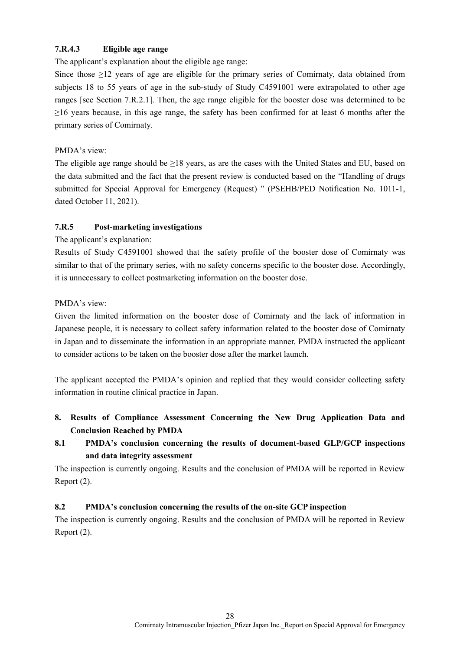# **7.R.4.3 Eligible age range**

The applicant's explanation about the eligible age range:

Since those  $\geq$ 12 years of age are eligible for the primary series of Comirnaty, data obtained from subjects 18 to 55 years of age in the sub-study of Study C4591001 were extrapolated to other age ranges [see Section 7.R.2.1]. Then, the age range eligible for the booster dose was determined to be  $\geq$ 16 years because, in this age range, the safety has been confirmed for at least 6 months after the primary series of Comirnaty.

### PMDA's view:

The eligible age range should be ≥18 years, as are the cases with the United States and EU, based on the data submitted and the fact that the present review is conducted based on the "Handling of drugs submitted for Special Approval for Emergency (Request) " (PSEHB/PED Notification No. 1011-1, dated October 11, 2021).

## **7.R.5 Post-marketing investigations**

### The applicant's explanation:

Results of Study C4591001 showed that the safety profile of the booster dose of Comirnaty was similar to that of the primary series, with no safety concerns specific to the booster dose. Accordingly, it is unnecessary to collect postmarketing information on the booster dose.

### PMDA's view:

Given the limited information on the booster dose of Comirnaty and the lack of information in Japanese people, it is necessary to collect safety information related to the booster dose of Comirnaty in Japan and to disseminate the information in an appropriate manner. PMDA instructed the applicant to consider actions to be taken on the booster dose after the market launch.

The applicant accepted the PMDA's opinion and replied that they would consider collecting safety information in routine clinical practice in Japan.

- <span id="page-32-0"></span>**8. Results of Compliance Assessment Concerning the New Drug Application Data and Conclusion Reached by PMDA**
- **8.1 PMDA's conclusion concerning the results of document-based GLP/GCP inspections and data integrity assessment**

The inspection is currently ongoing. Results and the conclusion of PMDA will be reported in Review Report (2).

## **8.2 PMDA's conclusion concerning the results of the on-site GCP inspection**

The inspection is currently ongoing. Results and the conclusion of PMDA will be reported in Review Report (2).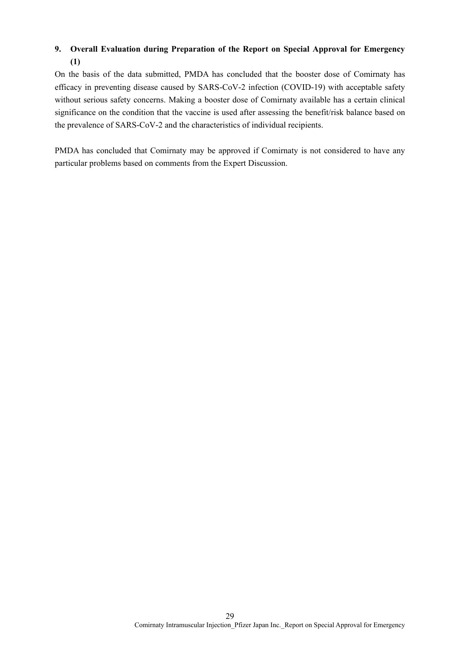# <span id="page-33-0"></span>**9. Overall Evaluation during Preparation of the Report on Special Approval for Emergency (1)**

On the basis of the data submitted, PMDA has concluded that the booster dose of Comirnaty has efficacy in preventing disease caused by SARS-CoV-2 infection (COVID-19) with acceptable safety without serious safety concerns. Making a booster dose of Comirnaty available has a certain clinical significance on the condition that the vaccine is used after assessing the benefit/risk balance based on the prevalence of SARS-CoV-2 and the characteristics of individual recipients.

PMDA has concluded that Comirnaty may be approved if Comirnaty is not considered to have any particular problems based on comments from the Expert Discussion.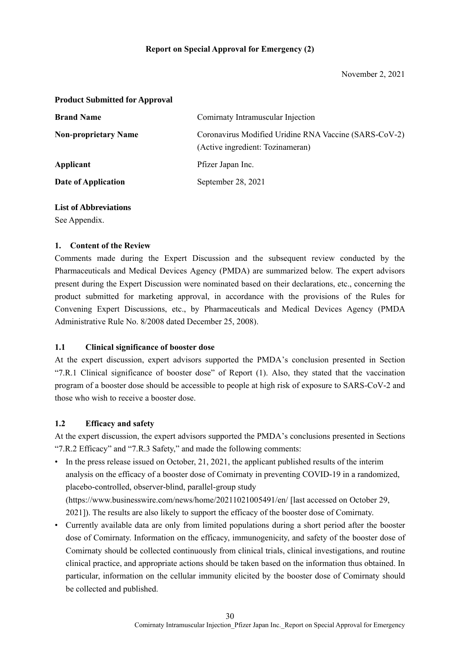#### **Product Submitted for Approval**

| <b>Brand Name</b>           | Comirnaty Intramuscular Injection                                                         |
|-----------------------------|-------------------------------------------------------------------------------------------|
| <b>Non-proprietary Name</b> | Coronavirus Modified Uridine RNA Vaccine (SARS-CoV-2)<br>(Active ingredient: Tozinameran) |
| Applicant                   | Pfizer Japan Inc.                                                                         |
| Date of Application         | September 28, 2021                                                                        |

### **List of Abbreviations**

See Appendix.

#### **1. Content of the Review**

Comments made during the Expert Discussion and the subsequent review conducted by the Pharmaceuticals and Medical Devices Agency (PMDA) are summarized below. The expert advisors present during the Expert Discussion were nominated based on their declarations, etc., concerning the product submitted for marketing approval, in accordance with the provisions of the Rules for Convening Expert Discussions, etc., by Pharmaceuticals and Medical Devices Agency (PMDA Administrative Rule No. 8/2008 dated December 25, 2008).

#### **1.1 Clinical significance of booster dose**

At the expert discussion, expert advisors supported the PMDA's conclusion presented in Section "7.R.1 Clinical significance of booster dose" of Report (1). Also, they stated that the vaccination program of a booster dose should be accessible to people at high risk of exposure to SARS-CoV-2 and those who wish to receive a booster dose.

#### **1.2 Efficacy and safety**

At the expert discussion, the expert advisors supported the PMDA's conclusions presented in Sections "7.R.2 Efficacy" and "7.R.3 Safety," and made the following comments:

- In the press release issued on October, 21, 2021, the applicant published results of the interim analysis on the efficacy of a booster dose of Comirnaty in preventing COVID-19 in a randomized, placebo-controlled, observer-blind, parallel-group study (https://www.businesswire.com/news/home/20211021005491/en/ [last accessed on October 29, 2021]). The results are also likely to support the efficacy of the booster dose of Comirnaty.
- Currently available data are only from limited populations during a short period after the booster dose of Comirnaty. Information on the efficacy, immunogenicity, and safety of the booster dose of Comirnaty should be collected continuously from clinical trials, clinical investigations, and routine clinical practice, and appropriate actions should be taken based on the information thus obtained. In particular, information on the cellular immunity elicited by the booster dose of Comirnaty should be collected and published.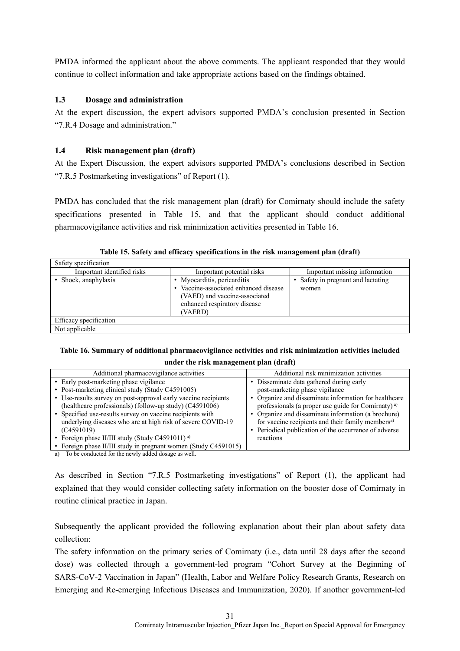PMDA informed the applicant about the above comments. The applicant responded that they would continue to collect information and take appropriate actions based on the findings obtained.

### **1.3 Dosage and administration**

At the expert discussion, the expert advisors supported PMDA's conclusion presented in Section "7.R.4 Dosage and administration."

### **1.4 Risk management plan (draft)**

At the Expert Discussion, the expert advisors supported PMDA's conclusions described in Section "7.R.5 Postmarketing investigations" of Report (1).

PMDA has concluded that the risk management plan (draft) for Comirnaty should include the safety specifications presented in Table 15, and that the applicant should conduct additional pharmacovigilance activities and risk minimization activities presented in Table 16.

| Safety specification       |                                                                                                                                                  |                                             |
|----------------------------|--------------------------------------------------------------------------------------------------------------------------------------------------|---------------------------------------------|
| Important identified risks | Important potential risks                                                                                                                        | Important missing information               |
| • Shock, anaphylaxis       | • Myocarditis, pericarditis<br>• Vaccine-associated enhanced disease<br>(VAED) and vaccine-associated<br>enhanced respiratory disease<br>(VAERD) | • Safety in pregnant and lactating<br>women |
| Efficacy specification     |                                                                                                                                                  |                                             |
| Not applicable             |                                                                                                                                                  |                                             |

**Table 15. Safety and efficacy specifications in the risk management plan (draft)**

# **Table 16. Summary of additional pharmacovigilance activities and risk minimization activities included under the risk management plan (draft)**

| Additional pharmacovigilance activities                                                                                                                                                                                                                                                                                                                                                               | Additional risk minimization activities                                                                                                                                                                                                                                                                               |
|-------------------------------------------------------------------------------------------------------------------------------------------------------------------------------------------------------------------------------------------------------------------------------------------------------------------------------------------------------------------------------------------------------|-----------------------------------------------------------------------------------------------------------------------------------------------------------------------------------------------------------------------------------------------------------------------------------------------------------------------|
| • Early post-marketing phase vigilance                                                                                                                                                                                                                                                                                                                                                                | • Disseminate data gathered during early                                                                                                                                                                                                                                                                              |
| • Post-marketing clinical study (Study C4591005)                                                                                                                                                                                                                                                                                                                                                      | post-marketing phase vigilance                                                                                                                                                                                                                                                                                        |
| • Use-results survey on post-approval early vaccine recipients<br>(healthcare professionals) (follow-up study) (C4591006)<br>• Specified use-results survey on vaccine recipients with<br>underlying diseases who are at high risk of severe COVID-19<br>(C4591019)<br>• Foreign phase II/III study (Study C4591011) <sup>a)</sup><br>• Foreign phase II/III study in pregnant women (Study C4591015) | • Organize and disseminate information for healthcare<br>professionals (a proper use guide for Comirnaty) <sup>a)</sup><br>• Organize and disseminate information (a brochure)<br>for vaccine recipients and their family members <sup>a)</sup><br>• Periodical publication of the occurrence of adverse<br>reactions |
| a) To be conducted for the newly added dosage as well                                                                                                                                                                                                                                                                                                                                                 |                                                                                                                                                                                                                                                                                                                       |

a) To be conducted for the newly added dosage as well.

As described in Section "7.R.5 Postmarketing investigations" of Report (1), the applicant had explained that they would consider collecting safety information on the booster dose of Comirnaty in routine clinical practice in Japan.

Subsequently the applicant provided the following explanation about their plan about safety data collection:

The safety information on the primary series of Comirnaty (i.e., data until 28 days after the second dose) was collected through a government-led program "Cohort Survey at the Beginning of SARS-CoV-2 Vaccination in Japan" (Health, Labor and Welfare Policy Research Grants, Research on Emerging and Re-emerging Infectious Diseases and Immunization, 2020). If another government-led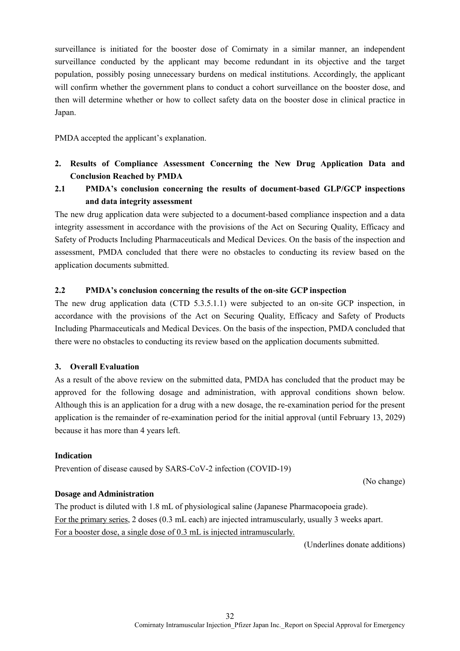surveillance is initiated for the booster dose of Comirnaty in a similar manner, an independent surveillance conducted by the applicant may become redundant in its objective and the target population, possibly posing unnecessary burdens on medical institutions. Accordingly, the applicant will confirm whether the government plans to conduct a cohort surveillance on the booster dose, and then will determine whether or how to collect safety data on the booster dose in clinical practice in Japan.

PMDA accepted the applicant's explanation.

- **2. Results of Compliance Assessment Concerning the New Drug Application Data and Conclusion Reached by PMDA**
- **2.1 PMDA's conclusion concerning the results of document-based GLP/GCP inspections and data integrity assessment**

The new drug application data were subjected to a document-based compliance inspection and a data integrity assessment in accordance with the provisions of the Act on Securing Quality, Efficacy and Safety of Products Including Pharmaceuticals and Medical Devices. On the basis of the inspection and assessment, PMDA concluded that there were no obstacles to conducting its review based on the application documents submitted.

# **2.2 PMDA's conclusion concerning the results of the on-site GCP inspection**

The new drug application data (CTD 5.3.5.1.1) were subjected to an on-site GCP inspection, in accordance with the provisions of the Act on Securing Quality, Efficacy and Safety of Products Including Pharmaceuticals and Medical Devices. On the basis of the inspection, PMDA concluded that there were no obstacles to conducting its review based on the application documents submitted.

# **3. Overall Evaluation**

As a result of the above review on the submitted data, PMDA has concluded that the product may be approved for the following dosage and administration, with approval conditions shown below. Although this is an application for a drug with a new dosage, the re-examination period for the present application is the remainder of re-examination period for the initial approval (until February 13, 2029) because it has more than 4 years left.

## **Indication**

Prevention of disease caused by SARS-CoV-2 infection (COVID-19)

(No change)

## **Dosage and Administration**

The product is diluted with 1.8 mL of physiological saline (Japanese Pharmacopoeia grade). For the primary series, 2 doses (0.3 mL each) are injected intramuscularly, usually 3 weeks apart. For a booster dose, a single dose of 0.3 mL is injected intramuscularly.

(Underlines donate additions)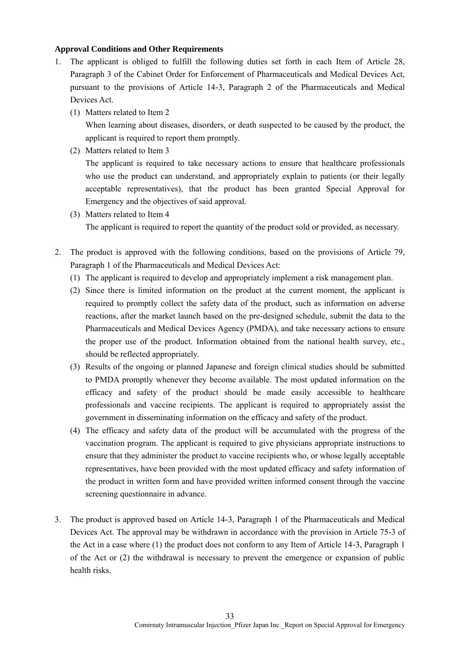### **Approval Conditions and Other Requirements**

- 1. The applicant is obliged to fulfill the following duties set forth in each Item of Article 28, Paragraph 3 of the Cabinet Order for Enforcement of Pharmaceuticals and Medical Devices Act, pursuant to the provisions of Article 14-3, Paragraph 2 of the Pharmaceuticals and Medical Devices Act.
	- (1) Matters related to Item 2

When learning about diseases, disorders, or death suspected to be caused by the product, the applicant is required to report them promptly.

(2) Matters related to Item 3

The applicant is required to take necessary actions to ensure that healthcare professionals who use the product can understand, and appropriately explain to patients (or their legally acceptable representatives), that the product has been granted Special Approval for Emergency and the objectives of said approval.

- (3) Matters related to Item 4 The applicant is required to report the quantity of the product sold or provided, as necessary.
- 2. The product is approved with the following conditions, based on the provisions of Article 79, Paragraph 1 of the Pharmaceuticals and Medical Devices Act:
	- (1) The applicant is required to develop and appropriately implement a risk management plan.
	- (2) Since there is limited information on the product at the current moment, the applicant is required to promptly collect the safety data of the product, such as information on adverse reactions, after the market launch based on the pre-designed schedule, submit the data to the Pharmaceuticals and Medical Devices Agency (PMDA), and take necessary actions to ensure the proper use of the product. Information obtained from the national health survey, etc., should be reflected appropriately.
	- (3) Results of the ongoing or planned Japanese and foreign clinical studies should be submitted to PMDA promptly whenever they become available. The most updated information on the efficacy and safety of the product should be made easily accessible to healthcare professionals and vaccine recipients. The applicant is required to appropriately assist the government in disseminating information on the efficacy and safety of the product.
	- (4) The efficacy and safety data of the product will be accumulated with the progress of the vaccination program. The applicant is required to give physicians appropriate instructions to ensure that they administer the product to vaccine recipients who, or whose legally acceptable representatives, have been provided with the most updated efficacy and safety information of the product in written form and have provided written informed consent through the vaccine screening questionnaire in advance.
- 3. The product is approved based on Article 14-3, Paragraph 1 of the Pharmaceuticals and Medical Devices Act. The approval may be withdrawn in accordance with the provision in Article 75-3 of the Act in a case where (1) the product does not conform to any Item of Article 14-3, Paragraph 1 of the Act or (2) the withdrawal is necessary to prevent the emergence or expansion of public health risks.